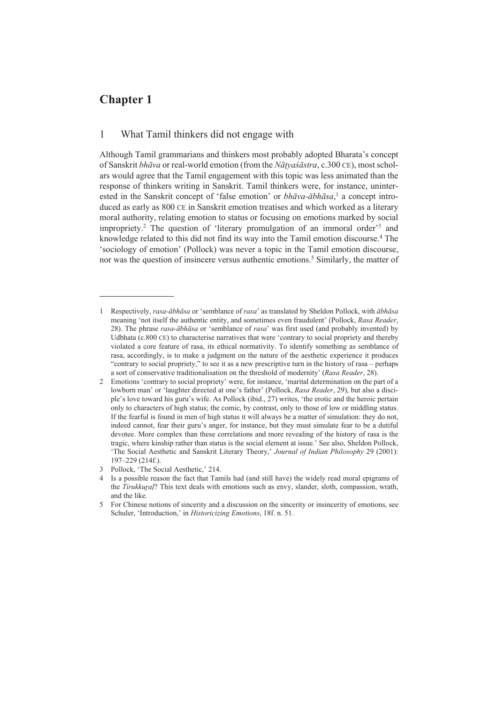# **Chapter 1**

# 1 What Tamil thinkers did not engage with

Although Tamil grammarians and thinkers most probably adopted Bharata's concept of Sanskrit *bhāva* or real-world emotion (from the *Nāṭyaśāstra*, c.300 CE), most scholars would agree that the Tamil engagement with this topic was less animated than the response of thinkers writing in Sanskrit. Tamil thinkers were, for instance, uninterested in the Sanskrit concept of 'false emotion' or *bhāva-ābhāsa*, 1 a concept introduced as early as 800 CE in Sanskrit emotion treatises and which worked as a literary moral authority, relating emotion to status or focusing on emotions marked by social impropriety.<sup>2</sup> The question of 'literary promulgation of an immoral order'<sup>3</sup> and knowledge related to this did not find its way into the Tamil emotion discourse.<sup>4</sup> The 'sociology of emotion' (Pollock) was never a topic in the Tamil emotion discourse, nor was the question of insincere versus authentic emotions.<sup>5</sup> Similarly, the matter of

<sup>1</sup> Respectively, *rasa-ābhāsa* or 'semblance of *rasa*' as translated by Sheldon Pollock, with *ābhāsa* meaning 'not itself the authentic entity, and sometimes even fraudulent' (Pollock, *Rasa Reader*, 28). The phrase *rasa-ābhāsa* or 'semblance of *rasa*' was first used (and probably invented) by Udbhata (c.800 CE) to characterise narratives that were 'contrary to social propriety and thereby violated a core feature of rasa, its ethical normativity. To identify something as semblance of rasa, accordingly, is to make a judgment on the nature of the aesthetic experience it produces "contrary to social propriety," to see it as a new prescriptive turn in the history of rasa – perhaps a sort of conservative traditionalisation on the threshold of modernity' (*Rasa Reader*, 28).

<sup>2</sup> Emotions 'contrary to social propriety' were, for instance, 'marital determination on the part of a lowborn man' or 'laughter directed at one's father' (Pollock, *Rasa Reader*, 29), but also a disciple's love toward his guru's wife. As Pollock (ibid., 27) writes, 'the erotic and the heroic pertain only to characters of high status; the comic, by contrast, only to those of low or middling status. If the fearful is found in men of high status it will always be a matter of simulation: they do not, indeed cannot, fear their guru's anger, for instance, but they must simulate fear to be a dutiful devotee. More complex than these correlations and more revealing of the history of rasa is the tragic, where kinship rather than status is the social element at issue.' See also, Sheldon Pollock, 'The Social Aesthetic and Sanskrit Literary Theory,' *Journal of Indian Philosophy* 29 (2001): 197‒229 (214f.).

<sup>3</sup> Pollock, 'The Social Aesthetic,' 214.

<sup>4</sup> Is a possible reason the fact that Tamils had (and still have) the widely read moral epigrams of the *Tirukkural*? This text deals with emotions such as envy, slander, sloth, compassion, wrath, and the like.

<sup>5</sup> For Chinese notions of sincerity and a discussion on the sincerity or insincerity of emotions, see Schuler, 'Introduction,' in *Historicizing Emotions*, 18f. n. 51.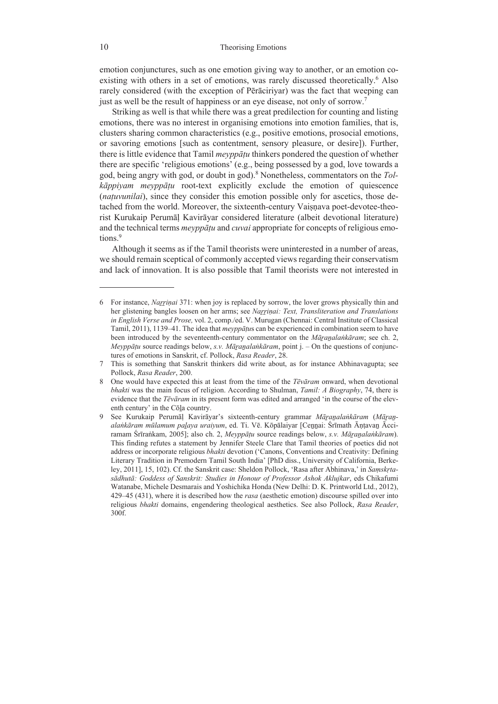emotion conjunctures, such as one emotion giving way to another, or an emotion coexisting with others in a set of emotions, was rarely discussed theoretically.<sup>6</sup> Also rarely considered (with the exception of Pērāciriyar) was the fact that weeping can just as well be the result of happiness or an eye disease, not only of sorrow.<sup>7</sup>

Striking as well is that while there was a great predilection for counting and listing emotions, there was no interest in organising emotions into emotion families, that is, clusters sharing common characteristics (e.g., positive emotions, prosocial emotions, or savoring emotions [such as contentment, sensory pleasure, or desire]). Further, there is little evidence that Tamil *meyppāṭu* thinkers pondered the question of whether there are specific 'religious emotions' (e.g., being possessed by a god, love towards a god, being angry with god, or doubt in god).8 Nonetheless, commentators on the *Tolkāppiyam meyppāṭu* root-text explicitly exclude the emotion of quiescence (*natuvunilai*), since they consider this emotion possible only for ascetics, those detached from the world. Moreover, the sixteenth-century Vaisnava poet-devotee-theorist Kurukaip Perumāḷ Kavirāyar considered literature (albeit devotional literature) and the technical terms *meyppāṭu* and *cuvai* appropriate for concepts of religious emotions.<sup>9</sup>

Although it seems as if the Tamil theorists were uninterested in a number of areas, we should remain sceptical of commonly accepted views regarding their conservatism and lack of innovation. It is also possible that Tamil theorists were not interested in

<sup>6</sup> For instance, *Naṟṟiṇai* 371: when joy is replaced by sorrow, the lover grows physically thin and her glistening bangles loosen on her arms; see *Naṟṟiṇai: Text, Transliteration and Translations in English Verse and Prose,* vol. 2, comp./ed. V. Murugan (Chennai: Central Institute of Classical Tamil, 2011), 1139–41. The idea that *meyppatus* can be experienced in combination seem to have been introduced by the seventeenth-century commentator on the *Māṟaṉalaṅkāram*; see ch. 2, *Meyppāṭu* source readings below, *s.v. Māṟaṉalaṅkāram*, point j. – On the questions of conjunctures of emotions in Sanskrit, cf. Pollock, *Rasa Reader*, 28.

<sup>7</sup> This is something that Sanskrit thinkers did write about, as for instance Abhinavagupta; see Pollock, *Rasa Reader*, 200.

<sup>8</sup> One would have expected this at least from the time of the *Tēvāram* onward, when devotional *bhakti* was the main focus of religion. According to Shulman, *Tamil: A Biography*, 74, there is evidence that the *Tēvāram* in its present form was edited and arranged 'in the course of the eleventh century' in the Cōḻa country.

<sup>9</sup> See Kurukaip Perumāḷ Kavirāyar's sixteenth-century grammar *Māṟaṉalaṅkāram* (*Māṟaṉalaṅkāram mūlamum paḻaya uraiyum*, ed. Ti. Vē. Kōpālaiyar [Ceṉṉai: Śrīmath Āṇṭavaṉ Ācciramam Śrīraṅkam, 2005]; also ch. 2, *Meyppāṭu* source readings below, *s.v. Māṟaṉalaṅkāram*). This finding refutes a statement by Jennifer Steele Clare that Tamil theories of poetics did not address or incorporate religious *bhakti* devotion ('Canons, Conventions and Creativity: Defining Literary Tradition in Premodern Tamil South India' [PhD diss., University of California, Berkeley, 2011], 15, 102). Cf. the Sanskrit case: Sheldon Pollock, 'Rasa after Abhinava,' in *Saṃskṛtasādhutā: Goddess of Sanskrit: Studies in Honour of Professor Ashok Aklujkar*, eds Chikafumi Watanabe, Michele Desmarais and Yoshichika Honda (New Delhi: D. K. Printworld Ltd., 2012), 429–45 (431), where it is described how the *rasa* (aesthetic emotion) discourse spilled over into religious *bhakti* domains, engendering theological aesthetics. See also Pollock, *Rasa Reader*, 300f.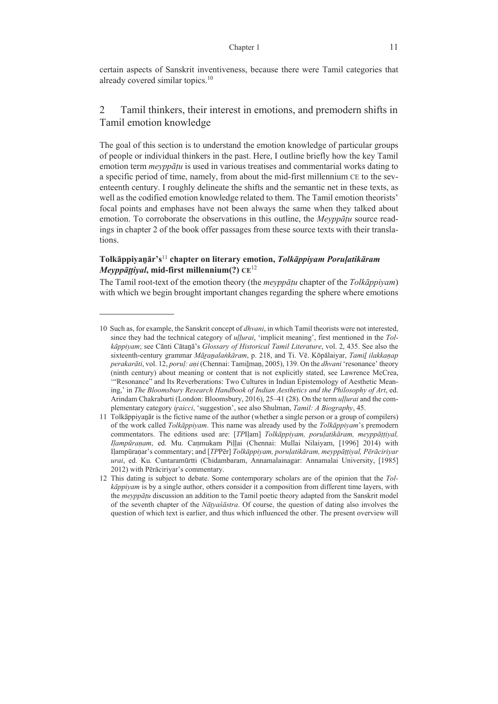certain aspects of Sanskrit inventiveness, because there were Tamil categories that already covered similar topics.10

# 2 Tamil thinkers, their interest in emotions, and premodern shifts in Tamil emotion knowledge

The goal of this section is to understand the emotion knowledge of particular groups of people or individual thinkers in the past. Here, I outline briefly how the key Tamil emotion term *meyppāṭu* is used in various treatises and commentarial works dating to a specific period of time, namely, from about the mid-first millennium CE to the seventeenth century. I roughly delineate the shifts and the semantic net in these texts, as well as the codified emotion knowledge related to them. The Tamil emotion theorists' focal points and emphases have not been always the same when they talked about emotion. To corroborate the observations in this outline, the *Meyppāṭu* source readings in chapter 2 of the book offer passages from these source texts with their translations.

# **Tolkāppiyaṉār's**<sup>11</sup> **chapter on literary emotion,** *Tolkāppiyam Poruḷatikāram Meyppāṭṭiyal***, mid-first millennium(?) CE**<sup>12</sup>

The Tamil root-text of the emotion theory (the *meyppāṭu* chapter of the *Tolkāppiyam*) with which we begin brought important changes regarding the sphere where emotions

<sup>10</sup> Such as, for example, the Sanskrit concept of *dhvani*, in which Tamil theorists were not interested, since they had the technical category of *uḷḷurai*, 'implicit meaning', first mentioned in the *Tolkāppiyam*; see Cānti Cātaṉā's *Glossary of Historical Tamil Literature*, vol. 2, 435. See also the sixteenth-century grammar *Māṟaṉalaṅkāram*, p. 218, and Ti. Vē. Kōpālaiyar, *Tamiḻ ilakkaṇap perakarāti*, vol. 12, *poruḷ: aṇi* (Chennai: Tamiḻmaṇ, 2005), 139. On the *dhvani* 'resonance' theory (ninth century) about meaning or content that is not explicitly stated, see Lawrence McCrea, '"Resonance" and Its Reverberations: Two Cultures in Indian Epistemology of Aesthetic Meaning,' in *The Bloomsbury Research Handbook of Indian Aesthetics and the Philosophy of Art*, ed. Arindam Chakrabarti (London: Bloomsbury, 2016), 25–41 (28). On the term *uḷḷurai* and the complementary category *iṟaicci*, 'suggestion', see also Shulman, *Tamil: A Biography*, 45.

<sup>11</sup> Tolkāppiyaṉār is the fictive name of the author (whether a single person or a group of compilers) of the work called *Tolkāppiyam*. This name was already used by the *Tolkāppiyam*'s premodern commentators. The editions used are: [*TP*Iḷam] *Tolkāppiyam, poruḷatikāram, meyppāṭṭiyal, Iḷampūraṇam*, ed. Mu. Caṇmukam Piḷḷai (Chennai: Mullai Nilaiyam, [1996] 2014) with Iḷampūraṇar's commentary; and [*TP*Pēr] *Tolkāppiyam, poruḷatikāram, meyppāṭṭiyal, Pērāciriyar urai*, ed. Ku. Cuntaramūrtti (Chidambaram, Annamalainagar: Annamalai University, [1985] 2012) with Pērāciriyar's commentary.

<sup>12</sup> This dating is subject to debate. Some contemporary scholars are of the opinion that the *Tolkāppiyam* is by a single author, others consider it a composition from different time layers, with the *meyppāṭu* discussion an addition to the Tamil poetic theory adapted from the Sanskrit model of the seventh chapter of the *Nāṭyaśāstra*. Of course, the question of dating also involves the question of which text is earlier, and thus which influenced the other. The present overview will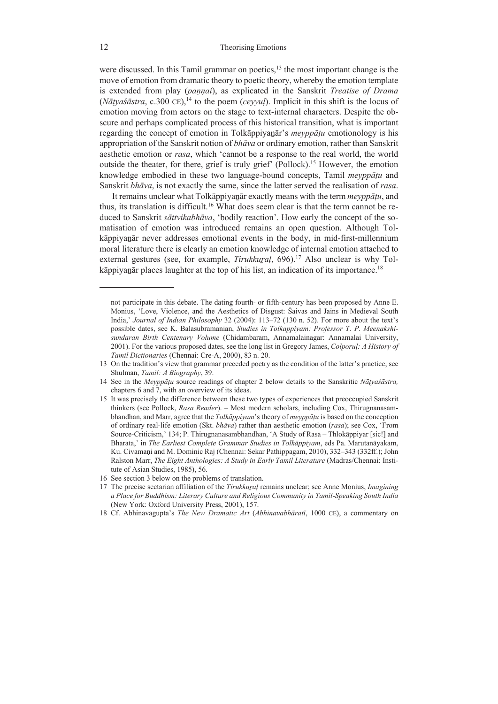were discussed. In this Tamil grammar on poetics, $13$  the most important change is the move of emotion from dramatic theory to poetic theory, whereby the emotion template is extended from play (*pannai*), as explicated in the Sanskrit *Treatise of Drama*  $(N\bar{a}t\gamma a\dot{s}\bar{a}$ *stra*, c.300 CE),<sup>14</sup> to the poem (*ceyyul*). Implicit in this shift is the locus of emotion moving from actors on the stage to text-internal characters. Despite the obscure and perhaps complicated process of this historical transition, what is important regarding the concept of emotion in Tolkāppiyaṉār's *meyppāṭu* emotionology is his appropriation of the Sanskrit notion of *bhāva* or ordinary emotion, rather than Sanskrit aesthetic emotion or *rasa*, which 'cannot be a response to the real world, the world outside the theater, for there, grief is truly grief' (Pollock).15 However, the emotion knowledge embodied in these two language-bound concepts, Tamil *meyppāṭu* and Sanskrit *bhāva*, is not exactly the same, since the latter served the realisation of *rasa*.

It remains unclear what Tolkāppiyaṉār exactly means with the term *meyppāṭu*, and thus, its translation is difficult.<sup>16</sup> What does seem clear is that the term cannot be reduced to Sanskrit *sāttvikabhāva*, 'bodily reaction'. How early the concept of the somatisation of emotion was introduced remains an open question. Although Tolkāppiyaṉār never addresses emotional events in the body, in mid-first-millennium moral literature there is clearly an emotion knowledge of internal emotion attached to external gestures (see, for example, *Tirukkural*, 696).<sup>17</sup> Also unclear is why Tolkāppiyanār places laughter at the top of his list, an indication of its importance.<sup>18</sup>

not participate in this debate. The dating fourth- or fifth-century has been proposed by Anne E. Monius, 'Love, Violence, and the Aesthetics of Disgust: Śaivas and Jains in Medieval South India,' *Journal of Indian Philosophy* 32 (2004): 113–72 (130 n. 52). For more about the text's possible dates, see K. Balasubramanian, *Studies in Tolkappiyam: Professor T. P. Meenakshisundaran Birth Centenary Volume* (Chidambaram, Annamalainagar: Annamalai University, 2001). For the various proposed dates, see the long list in Gregory James, *Colporuḷ: A History of Tamil Dictionaries* (Chennai: Cre-A, 2000), 83 n. 20.

<sup>13</sup> On the tradition's view that grammar preceded poetry as the condition of the latter's practice; see Shulman, *Tamil: A Biography*, 39.

<sup>14</sup> See in the *Meyppāṭu* source readings of chapter 2 below details to the Sanskritic *Nāṭyaśāstra,*  chapters 6 and 7, with an overview of its ideas.

<sup>15</sup> It was precisely the difference between these two types of experiences that preoccupied Sanskrit thinkers (see Pollock, *Rasa Reader*). ‒ Most modern scholars, including Cox, Thirugnanasambhandhan, and Marr, agree that the *Tolkāppiyam*'s theory of *meyppāṭu* is based on the conception of ordinary real-life emotion (Skt. *bhāva*) rather than aesthetic emotion (*rasa*); see Cox, 'From Source-Criticism,' 134; P. Thirugnanasambhandhan, 'A Study of Rasa - Thlokāppiyar [sic!] and Bharata,' in *The Earliest Complete Grammar Studies in Tolkāppiyam*, eds Pa. Marutanāyakam, Ku. Civamani and M. Dominic Raj (Chennai: Sekar Pathippagam, 2010), 332–343 (332ff.); John Ralston Marr, *The Eight Anthologies: A Study in Early Tamil Literature* (Madras/Chennai: Institute of Asian Studies, 1985), 56.

<sup>16</sup> See section 3 below on the problems of translation.

<sup>17</sup> The precise sectarian affiliation of the *Tirukkuṟaḷ* remains unclear; see Anne Monius, *Imagining a Place for Buddhism: Literary Culture and Religious Community in Tamil-Speaking South India* (New York: Oxford University Press, 2001), 157.

<sup>18</sup> Cf. Abhinavagupta's *The New Dramatic Art* (*Abhinavabhāratī*, 1000 CE), a commentary on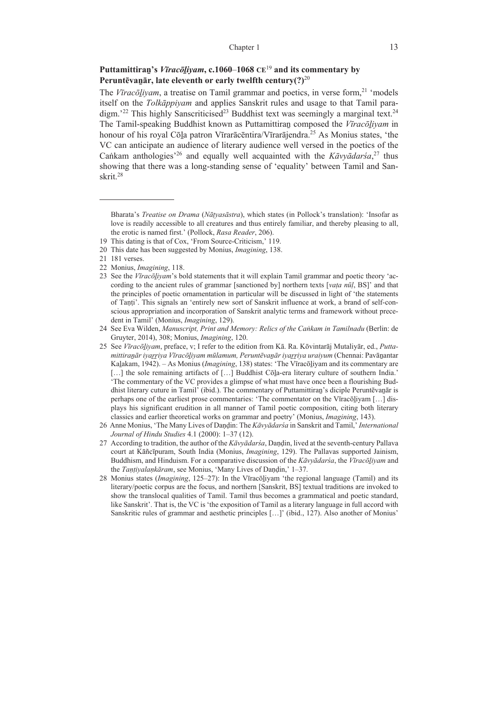# **Puttamittiraṉ's** *Vīracōḻiyam***, c.1060**–**1068 CE**<sup>19</sup> **and its commentary by Peruntēvaṉār, late eleventh or early twelfth century(?)**<sup>20</sup>

The *Vīracōḻiyam*, a treatise on Tamil grammar and poetics, in verse form,21 'models itself on the *Tolkāppiyam* and applies Sanskrit rules and usage to that Tamil para- $\dim^{22}$  This highly Sanscriticised<sup>23</sup> Buddhist text was seemingly a marginal text.<sup>24</sup> The Tamil-speaking Buddhist known as Puttamittiraṉ composed the *Vīracōḻiyam* in honour of his royal Cōla patron Vīrarācēntira/Vīrarājendra.<sup>25</sup> As Monius states, 'the VC can anticipate an audience of literary audience well versed in the poetics of the Caṅkam anthologies'26 and equally well acquainted with the *Kāvyādarśa*, 27 thus showing that there was a long-standing sense of 'equality' between Tamil and Sanskrit.28

Bharata's *Treatise on Drama* (*Nāṭyasāstra*), which states (in Pollock's translation): 'Insofar as love is readily accessible to all creatures and thus entirely familiar, and thereby pleasing to all, the erotic is named first.' (Pollock, *Rasa Reader*, 206).

<sup>19</sup> This dating is that of Cox, 'From Source-Criticism,' 119.

<sup>20</sup> This date has been suggested by Monius, *Imagining*, 138.

<sup>21 181</sup> verses.

<sup>22</sup> Monius, *Imagining*, 118.

<sup>23</sup> See the *Vīracōḻiyam*'s bold statements that it will explain Tamil grammar and poetic theory 'according to the ancient rules of grammar [sanctioned by] northern texts [*vaṭa nūḷ*, BS]' and that the principles of poetic ornamentation in particular will be discussed in light of 'the statements of Taṇṭi'. This signals an 'entirely new sort of Sanskrit influence at work, a brand of self-conscious appropriation and incorporation of Sanskrit analytic terms and framework without precedent in Tamil' (Monius, *Imagining*, 129).

<sup>24</sup> See Eva Wilden, *Manuscript, Print and Memory: Relics of the Caṅkam in Tamilnadu* (Berlin: de Gruyter, 2014), 308; Monius, *Imagining*, 120.

<sup>25</sup> See *Vīracōḻiyam*, preface, v; I refer to the edition from Kā. Ra. Kōvintarāj Mutaliyār, ed., *Puttamittiraṉār iyaṟṟiya Vīracōḻiyam mūlamum, Peruntēvaṉār iyaṟṟiya uraiyum* (Chennai: Pavāṉantar Kaḻakam, 1942). ‒ As Monius (*Imagining*, 138) states: 'The Vīracōḻiyam and its commentary are [...] the sole remaining artifacts of [...] Buddhist Cōla-era literary culture of southern India.' 'The commentary of the VC provides a glimpse of what must have once been a flourishing Buddhist literary cuture in Tamil' (ibid.). The commentary of Puttamittiraṉ's diciple Peruntēvaṉār is perhaps one of the earliest prose commentaries: 'The commentator on the Vīracōliyam [...] displays his significant erudition in all manner of Tamil poetic composition, citing both literary classics and earlier theoretical works on grammar and poetry' (Monius, *Imagining*, 143).

<sup>26</sup> Anne Monius, 'The Many Lives of Daṇḍin: The *Kāvyādarśa* in Sanskrit and Tamil,' *International Journal of Hindu Studies* 4.1 (2000): 1‒37 (12).

<sup>27</sup> According to tradition, the author of the *Kāvyādarśa*, Daṇḍin, lived at the seventh-century Pallava court at Kāñcīpuram, South India (Monius, *Imagining*, 129). The Pallavas supported Jainism, Buddhism, and Hinduism. For a comparative discussion of the *Kāvyādarśa*, the *Vīracōḻiyam* and the *Taṇṭiyalaṇkāram*, see Monius, 'Many Lives of Daṇḍin,' 1‒37.

<sup>28</sup> Monius states *(Imagining, 125–27)*: In the Viracoliyam 'the regional language (Tamil) and its literary/poetic corpus are the focus, and northern [Sanskrit, BS] textual traditions are invoked to show the translocal qualities of Tamil. Tamil thus becomes a grammatical and poetic standard, like Sanskrit'. That is, the VC is 'the exposition of Tamil as a literary language in full accord with Sanskritic rules of grammar and aesthetic principles […]' (ibid., 127). Also another of Monius'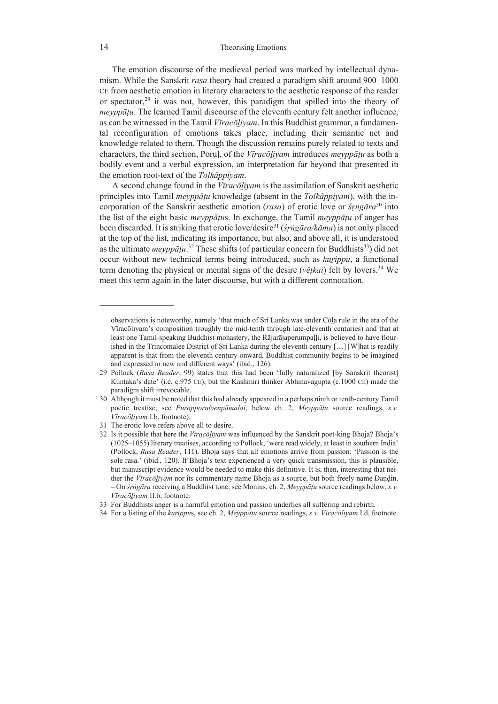The emotion discourse of the medieval period was marked by intellectual dynamism. While the Sanskrit *rasa* theory had created a paradigm shift around 900–1000 CE from aesthetic emotion in literary characters to the aesthetic response of the reader or spectator, $2<sup>9</sup>$  it was not, however, this paradigm that spilled into the theory of *meyppāṭu*. The learned Tamil discourse of the eleventh century felt another influence, as can be witnessed in the Tamil *Vīracōḻiyam*. In this Buddhist grammar, a fundamental reconfiguration of emotions takes place, including their semantic net and knowledge related to them. Though the discussion remains purely related to texts and characters, the third section, Poruḷ, of the *Vīracōḻiyam* introduces *meyppāṭu* as both a bodily event and a verbal expression, an interpretation far beyond that presented in the emotion root-text of the *Tolkāppiyam*.

A second change found in the *Vīracōḻiyam* is the assimilation of Sanskrit aesthetic principles into Tamil *meyppāṭu* knowledge (absent in the *Tolkāppiyam*), with the incorporation of the Sanskrit aesthetic emotion (*rasa*) of erotic love or *śṛṅgāra*30 into the list of the eight basic *meyppāṭu*s. In exchange, the Tamil *meyppāṭu* of anger has been discarded. It is striking that erotic love/desire31 (*śṛṅgāra/kāma*) is not only placed at the top of the list, indicating its importance, but also, and above all, it is understood as the ultimate *meyppāṭu*.<sup>32</sup> These shifts (of particular concern for Buddhists<sup>33</sup>) did not occur without new technical terms being introduced, such as *kuṟippu*, a functional term denoting the physical or mental signs of the desire (*vēṭkai*) felt by lovers.34 We meet this term again in the later discourse, but with a different connotation.

observations is noteworthy, namely 'that much of Sri Lanka was under Cōḻa rule in the era of the Vīracōliyam's composition (roughly the mid-tenth through late-eleventh centuries) and that at least one Tamil-speaking Buddhist monastery, the Rājarājaperumpaḷḷi, is believed to have flourished in the Trincomalee District of Sri Lanka during the eleventh century […] [W]hat is readily apparent is that from the eleventh century onward, Buddhist community begins to be imagined and expressed in new and different ways' (ibid., 126).

<sup>29</sup> Pollock (*Rasa Reader*, 99) states that this had been 'fully naturalized [by Sanskrit theorist] Kuntaka's date' (i.e. c.975 CE), but the Kashmiri thinker Abhinavagupta (c.1000 CE) made the paradigm shift irrevocable.

<sup>30</sup> Although it must be noted that this had already appeared in a perhaps ninth or tenth-century Tamil poetic treatise; see *Puṟapporuḷveṉpāmalai*, below ch. 2, *Meyppāṭu* source readings, *s.v. Vīracōḻiyam* I.b, footnote).

<sup>31</sup> The erotic love refers above all to desire.

<sup>32</sup> Is it possible that here the *Vīracōḻiyam* was influenced by the Sanskrit poet-king Bhoja? Bhoja's (1025‒1055) literary treatises, according to Pollock, 'were read widely, at least in southern India' (Pollock, *Rasa Reader*, 111). Bhoja says that all emotions arrive from passion: 'Passion is the sole rasa.' (ibid., 120). If Bhoja's text experienced a very quick transmission, this is plausible, but manuscript evidence would be needed to make this definitive. It is, then, interesting that neither the *Vīracōḻiyam* nor its commentary name Bhoja as a source, but both freely name Daṇḍin. – On *śṛṅgāra* receiving a Buddhist tone, see Monius, ch. 2, *Meyppāṭu* source readings below, *s.v. Vīracōḻiyam* II.b, footnote.

<sup>33</sup> For Buddhists anger is a harmful emotion and passion underlies all suffering and rebirth.

<sup>34</sup> For a listing of the *kuṟippu*s, see ch. 2, *Meyppāṭu* source readings, *s.v. Vīracōḻiyam* I.d, footnote.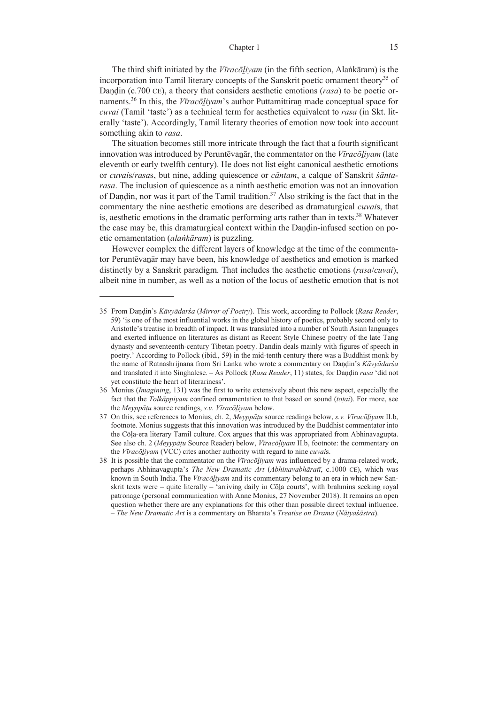The third shift initiated by the *Vīracōḻiyam* (in the fifth section, Alaṅkāram) is the incorporation into Tamil literary concepts of the Sanskrit poetic ornament theory<sup>35</sup> of Dandin (c.700 CE), a theory that considers aesthetic emotions (*rasa*) to be poetic ornaments.36 In this, the *Vīracōḻiyam*'s author Puttamittiraṉ made conceptual space for *cuvai* (Tamil 'taste') as a technical term for aesthetics equivalent to *rasa* (in Skt. literally 'taste'). Accordingly, Tamil literary theories of emotion now took into account something akin to *rasa*.

The situation becomes still more intricate through the fact that a fourth significant innovation was introduced by Peruntēvaṉār, the commentator on the *Vīracōḻiyam* (late eleventh or early twelfth century). He does not list eight canonical aesthetic emotions or *cuvai*s/*rasa*s, but nine, adding quiescence or *cāntam*, a calque of Sanskrit *śāntarasa*. The inclusion of quiescence as a ninth aesthetic emotion was not an innovation of Dandin, nor was it part of the Tamil tradition.<sup>37</sup> Also striking is the fact that in the commentary the nine aesthetic emotions are described as dramaturgical *cuvai*s, that is, aesthetic emotions in the dramatic performing arts rather than in texts.<sup>38</sup> Whatever the case may be, this dramaturgical context within the Daṇḍin-infused section on poetic ornamentation (*alaṅkāram*) is puzzling.

However complex the different layers of knowledge at the time of the commentator Peruntēvaṉār may have been, his knowledge of aesthetics and emotion is marked distinctly by a Sanskrit paradigm. That includes the aesthetic emotions (*rasa*/*cuvai*), albeit nine in number, as well as a notion of the locus of aesthetic emotion that is not

<sup>35</sup> From Daṇḍin's *Kāvyādarśa* (*Mirror of Poetry*). This work, according to Pollock (*Rasa Reader*, 59) 'is one of the most influential works in the global history of poetics, probably second only to Aristotle's treatise in breadth of impact. It was translated into a number of South Asian languages and exerted influence on literatures as distant as Recent Style Chinese poetry of the late Tang dynasty and seventeenth-century Tibetan poetry. Dandin deals mainly with figures of speech in poetry.' According to Pollock (ibid., 59) in the mid-tenth century there was a Buddhist monk by the name of Ratnashrijnana from Sri Lanka who wrote a commentary on Daṇḍin's *Kāvyādarśa* and translated it into Singhalese. – As Pollock (*Rasa Reader*, 11) states, for Daṇḍin *rasa* 'did not yet constitute the heart of literariness'.

<sup>36</sup> Monius (*Imagining*, 131) was the first to write extensively about this new aspect, especially the fact that the *Tolkāppiyam* confined ornamentation to that based on sound (*toṭai*). For more, see the *Meyppāṭu* source readings, *s.v. Vīracōḻiyam* below.

<sup>37</sup> On this, see references to Monius, ch. 2, *Meyppāṭu* source readings below, *s.v. Vīracōḻiyam* II.b, footnote. Monius suggests that this innovation was introduced by the Buddhist commentator into the Cōḷa-era literary Tamil culture. Cox argues that this was appropriated from Abhinavagupta. See also ch. 2 (*Meyypāṭu* Source Reader) below, *Vīracōḻiyam* II.b, footnote: the commentary on the *Vīracōḻiyam* (VCC) cites another authority with regard to nine *cuvai*s.

<sup>38</sup> It is possible that the commentator on the *Vīracōḻiyam* was influenced by a drama-related work, perhaps Abhinavagupta's *The New Dramatic Art* (*Abhinavabhāratī*, c.1000 CE), which was known in South India. The *Vīracōḻiyam* and its commentary belong to an era in which new Sanskrit texts were – quite literally – 'arriving daily in Cōḻa courts', with brahmins seeking royal patronage (personal communication with Anne Monius, 27 November 2018). It remains an open question whether there are any explanations for this other than possible direct textual influence. – *The New Dramatic Art* is a commentary on Bharata's *Treatise on Drama* (*Nāṭyaśāstra*).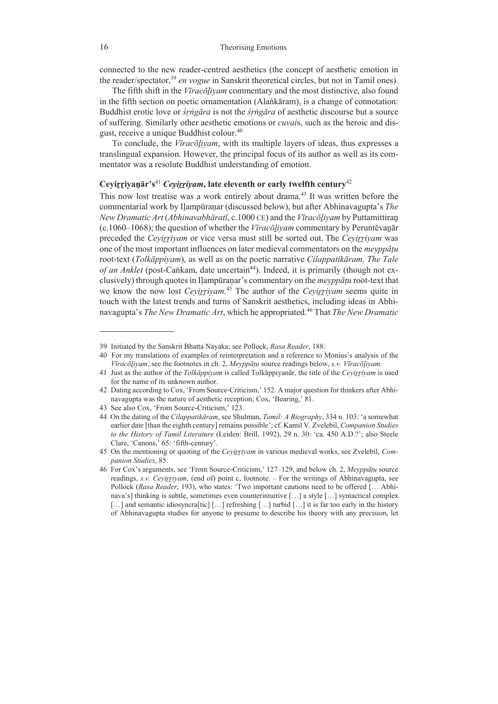connected to the new reader-centred aesthetics (the concept of aesthetic emotion in the reader/spectator,39 *en vogue* in Sanskrit theoretical circles, but not in Tamil ones).

The fifth shift in the *Vīracōḻiyam* commentary and the most distinctive, also found in the fifth section on poetic ornamentation (Alaṅkāram), is a change of connotation: Buddhist erotic love or *śṛṅgāra* is not the *śṛṅgāra* of aesthetic discourse but a source of suffering. Similarly other aesthetic emotions or *cuvai*s, such as the heroic and disgust, receive a unique Buddhist colour.40

To conclude, the *Vīracōḻiyam*, with its multiple layers of ideas, thus expresses a translingual expansion. However, the principal focus of its author as well as its commentator was a resolute Buddhist understanding of emotion.

# **Ceyirriyanār's**<sup>41</sup> *Ceyirriyam*, late eleventh or early twelfth century<sup>42</sup>

This now lost treatise was a work entirely about drama.<sup>43</sup> It was written before the commentarial work by Iḷampūraṇar (discussed below), but after Abhinavagupta's *The New Dramatic Art* (*Abhinavabhāratī*, c.1000 CE) and the *Vīracōḻiyam* by Puttamittiraṉ (c.1060‒1068); the question of whether the *Vīracōḻiyam* commentary by Peruntēvaṉār preceded the *Ceyiṟṟiyam* or vice versa must still be sorted out. The *Ceyiṟṟiyam* was one of the most important influences on later medieval commentators on the *meyppāṭu* root-text (*Tolkāppiyam*), as well as on the poetic narrative *Cilappatikāram, The Tale of an Anklet* (post-Caṅkam, date uncertain<sup>44</sup>). Indeed, it is primarily (though not exclusively) through quotes in Iḷampūraṇar's commentary on the *meyppāṭu* root-text that we know the now lost *Ceyirriyam*.<sup>45</sup> The author of the *Ceyirriyam* seems quite in touch with the latest trends and turns of Sanskrit aesthetics, including ideas in Abhinavagupta's *The New Dramatic Art*, which he appropriated.46 That *The New Dramatic* 

<sup>39</sup> Initiated by the Sanskrit Bhatta Nayaka; see Pollock, *Rasa Reader*, 188.

<sup>40</sup> For my translations of examples of reinterpretation and a reference to Monius's analysis of the *Vīracōḻiyam*, see the footnotes in ch. 2, *Meyppāṭu* source readings below, *s.v. Vīracōḻiyam.*

<sup>41</sup> Just as the author of the *Tolkāppiyam* is called Tolkāppiyanār, the title of the *Ceyiṟṟiyam* is used for the name of its unknown author.

<sup>42</sup> Dating according to Cox, 'From Source-Criticism,' 152. A major question for thinkers after Abhinavagupta was the nature of aesthetic reception; Cox, 'Bearing,' 81.

<sup>43</sup> See also Cox, 'From Source-Criticism,' 123.

<sup>44</sup> On the dating of the *Cilappatikāram*, see Shulman, *Tamil: A Biography*, 334 n. 103: 'a somewhat earlier date [than the eighth century] remains possible'; cf. Kamil V. Zvelebil, *Companion Studies to the History of Tamil Literature* (Leiden: Brill, 1992), 29 n. 30: 'ca. 450 A.D.?'; also Steele Clare, 'Canons,' 65: 'fifth-century'.

<sup>45</sup> On the mentioning or quoting of the *Ceyiṟṟiyam* in various medieval works, see Zvelebil, *Companion Studies*, 85.

<sup>46</sup> For Cox's arguments, see 'From Source-Criticism,' 127–129, and below ch. 2, *Meyppāṭu* source readings, *s.v. Cevirrivam*, (end of) point c, footnote. – For the writings of Abhinavagupta, see Pollock (Rasa Reader, 193), who states: 'Two important cautions need to be offered [... Abhinava's] thinking is subtle, sometimes even counterintuitive […] a style […] syntactical complex [...] and semantic idiosyncra[tic] [...] refreshing [...] turbid [...] it is far too early in the history of Abhinavagupta studies for anyone to presume to describe his theory with any precision, let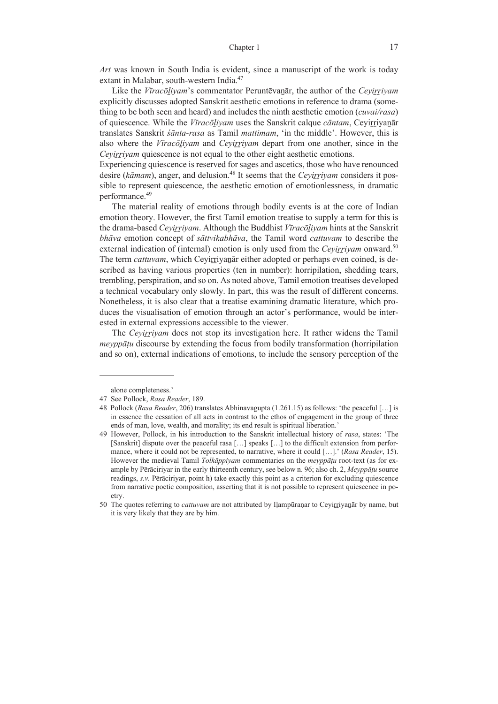*Art* was known in South India is evident, since a manuscript of the work is today extant in Malabar, south-western India.<sup>47</sup>

Like the *Vīracōḻiyam*'s commentator Peruntēvaṉār, the author of the *Ceyiṟṟiyam* explicitly discusses adopted Sanskrit aesthetic emotions in reference to drama (something to be both seen and heard) and includes the ninth aesthetic emotion (*cuvai/rasa*) of quiescence. While the *Vīracōḻiyam* uses the Sanskrit calque *cāntam*, Ceyiṟṟiyaṉār translates Sanskrit *śānta-rasa* as Tamil *mattimam*, 'in the middle'. However, this is also where the *Vīracōḻiyam* and *Ceyiṟṟiyam* depart from one another, since in the *Cevirrivam* quiescence is not equal to the other eight aesthetic emotions.

Experiencing quiescence is reserved for sages and ascetics, those who have renounced desire (*kāmam*), anger, and delusion.<sup>48</sup> It seems that the *Cevirrivam* considers it possible to represent quiescence, the aesthetic emotion of emotionlessness, in dramatic performance.49

The material reality of emotions through bodily events is at the core of Indian emotion theory. However, the first Tamil emotion treatise to supply a term for this is the drama-based *Ceyiṟṟiyam*. Although the Buddhist *Vīracōḻiyam* hints at the Sanskrit *bhāva* emotion concept of *sāttvikabhāva*, the Tamil word *cattuvam* to describe the external indication of (internal) emotion is only used from the *Ceyirriyam* onward.<sup>50</sup> The term *cattuvam*, which Ceyirriyanar either adopted or perhaps even coined, is described as having various properties (ten in number): horripilation, shedding tears, trembling, perspiration, and so on. As noted above, Tamil emotion treatises developed a technical vocabulary only slowly. In part, this was the result of different concerns. Nonetheless, it is also clear that a treatise examining dramatic literature, which produces the visualisation of emotion through an actor's performance, would be interested in external expressions accessible to the viewer.

The *Ceyiṟṟiyam* does not stop its investigation here. It rather widens the Tamil *meyppāṭu* discourse by extending the focus from bodily transformation (horripilation and so on), external indications of emotions, to include the sensory perception of the

alone completeness.'

<sup>47</sup> See Pollock, *Rasa Reader*, 189.

<sup>48</sup> Pollock (*Rasa Reader*, 206) translates Abhinavagupta (1.261.15) as follows: 'the peaceful […] is in essence the cessation of all acts in contrast to the ethos of engagement in the group of three ends of man, love, wealth, and morality; its end result is spiritual liberation.'

<sup>49</sup> However, Pollock, in his introduction to the Sanskrit intellectual history of *rasa*, states: 'The [Sanskrit] dispute over the peaceful rasa […] speaks […] to the difficult extension from performance, where it could not be represented, to narrative, where it could […].' (*Rasa Reader*, 15). However the medieval Tamil *Tolkāppiyam* commentaries on the *meyppāṭu* root-text (as for example by Pērāciriyar in the early thirteenth century, see below n. 96; also ch. 2, *Meyppāṭu* source readings, *s.v.* Pērāciriyar, point h) take exactly this point as a criterion for excluding quiescence from narrative poetic composition, asserting that it is not possible to represent quiescence in poetry.

<sup>50</sup> The quotes referring to *cattuvam* are not attributed by Iḷampūraṇar to Ceyiṟṟiyaṉār by name, but it is very likely that they are by him.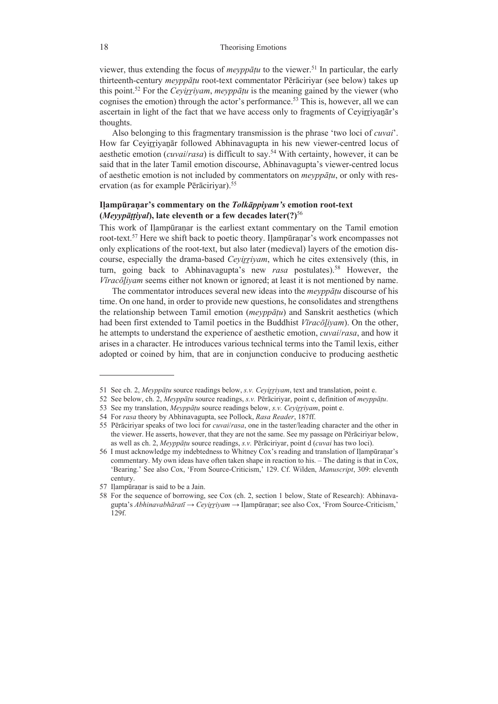viewer, thus extending the focus of *meyppāṭu* to the viewer.51 In particular, the early thirteenth-century *meyppāṭu* root-text commentator Pērāciriyar (see below) takes up this point.<sup>52</sup> For the *Ceyirriyam*, *meyppātu* is the meaning gained by the viewer (who cognises the emotion) through the actor's performance.<sup>53</sup> This is, however, all we can ascertain in light of the fact that we have access only to fragments of Ceyirriyanar's thoughts.

Also belonging to this fragmentary transmission is the phrase 'two loci of *cuvai*'. How far Ceyirriyanar followed Abhinavagupta in his new viewer-centred locus of aesthetic emotion (*cuvai*/*rasa*) is difficult to say.54 With certainty, however, it can be said that in the later Tamil emotion discourse, Abhinavagupta's viewer-centred locus of aesthetic emotion is not included by commentators on *meyppāṭu*, or only with reservation (as for example Pērāciriyar).<sup>55</sup>

## **Iḷampūraṇar's commentary on the** *Tolkāppiyam's* **emotion root-text (***Meyypāṭṭiyal***), late eleventh or a few decades later(?)**<sup>56</sup>

This work of Ilampūranar is the earliest extant commentary on the Tamil emotion root-text.57 Here we shift back to poetic theory. Iḷampūraṇar's work encompasses not only explications of the root-text, but also later (medieval) layers of the emotion discourse, especially the drama-based *Ceyiṟṟiyam*, which he cites extensively (this, in turn, going back to Abhinavagupta's new *rasa* postulates).<sup>58</sup> However, the *Vīracōḻiyam* seems either not known or ignored; at least it is not mentioned by name.

The commentator introduces several new ideas into the *meyppāṭu* discourse of his time. On one hand, in order to provide new questions, he consolidates and strengthens the relationship between Tamil emotion (*meyppāṭu*) and Sanskrit aesthetics (which had been first extended to Tamil poetics in the Buddhist *Vīracōḻiyam*). On the other, he attempts to understand the experience of aesthetic emotion, *cuvai*/*rasa*, and how it arises in a character. He introduces various technical terms into the Tamil lexis, either adopted or coined by him, that are in conjunction conducive to producing aesthetic

<sup>51</sup> See ch. 2, *Meyppāṭu* source readings below, *s.v. Ceyiṟṟiyam*, text and translation, point e.

<sup>52</sup> See below, ch. 2, *Meyppāṭu* source readings, *s.v.* Pērāciriyar, point c, definition of *meyppāṭu*.

<sup>53</sup> See my translation, *Meyppāṭu* source readings below, *s.v. Ceyiṟṟiyam*, point e.

<sup>54</sup> For *rasa* theory by Abhinavagupta, see Pollock, *Rasa Reader*, 187ff.

<sup>55</sup> Pērāciriyar speaks of two loci for *cuvai*/*rasa*, one in the taster/leading character and the other in the viewer. He asserts, however, that they are not the same. See my passage on Pērāciriyar below, as well as ch. 2, *Meyppāṭu* source readings, *s.v.* Pērāciriyar, point d (*cuvai* has two loci).

<sup>56</sup> I must acknowledge my indebtedness to Whitney Cox's reading and translation of Iḷampūraṇar's commentary. My own ideas have often taken shape in reaction to his. – The dating is that in Cox, 'Bearing.' See also Cox, 'From Source-Criticism,' 129. Cf. Wilden, *Manuscript*, 309: eleventh century.

<sup>57</sup> Iḷampūraṇar is said to be a Jain.

<sup>58</sup> For the sequence of borrowing, see Cox (ch. 2, section 1 below, State of Research): Abhinavagupta's *Abhinavabhāratī* → *Ceyiṟṟiyam* → Iḷampūraṇar; see also Cox, 'From Source-Criticism,' 129f.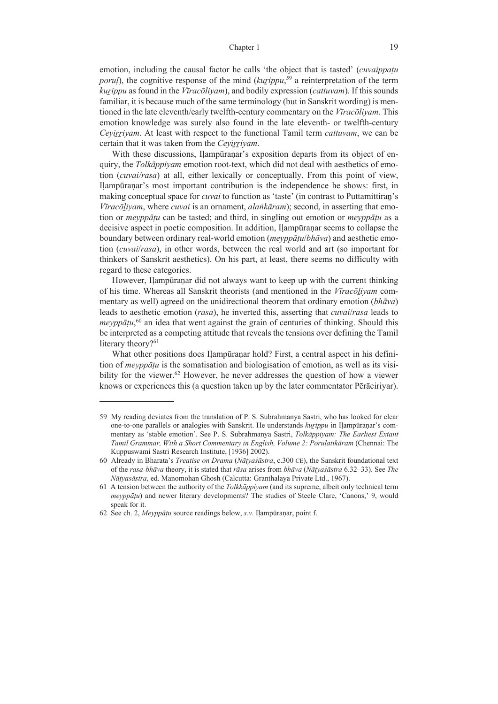emotion, including the causal factor he calls 'the object that is tasted' (*cuvaippaṭu poruḷ*), the cognitive response of the mind (*kuṟippu*, 59 a reinterpretation of the term *kuṟippu* as found in the *Vīracōliyam*), and bodily expression (*cattuvam*). If this sounds familiar, it is because much of the same terminology (but in Sanskrit wording) is mentioned in the late eleventh/early twelfth-century commentary on the *Vīracōliyam*. This emotion knowledge was surely also found in the late eleventh- or twelfth-century *Ceyiṟṟiyam*. At least with respect to the functional Tamil term *cattuvam*, we can be certain that it was taken from the *Ceyiṟṟiyam*.

With these discussions, Ilampūranar's exposition departs from its object of enquiry, the *Tolkāppiyam* emotion root-text, which did not deal with aesthetics of emotion (*cuvai/rasa*) at all, either lexically or conceptually. From this point of view, Ilampūranar's most important contribution is the independence he shows: first, in making conceptual space for *cuvai* to function as 'taste' (in contrast to Puttamittiran's *Vīracōḻiyam*, where *cuvai* is an ornament, *alaṅkāram*); second, in asserting that emotion or *meyppāṭu* can be tasted; and third, in singling out emotion or *meyppāṭu* as a decisive aspect in poetic composition. In addition, Iḷampūraṇar seems to collapse the boundary between ordinary real-world emotion (*meyppāṭu*/*bhāva*) and aesthetic emotion (*cuvai*/*rasa*), in other words, between the real world and art (so important for thinkers of Sanskrit aesthetics). On his part, at least, there seems no difficulty with regard to these categories.

However, Iḷampūraṇar did not always want to keep up with the current thinking of his time. Whereas all Sanskrit theorists (and mentioned in the *Vīracōḻiyam* commentary as well) agreed on the unidirectional theorem that ordinary emotion (*bhāva*) leads to aesthetic emotion (*rasa*), he inverted this, asserting that *cuvai*/*rasa* leads to *meyppāṭu*, 60 an idea that went against the grain of centuries of thinking. Should this be interpreted as a competing attitude that reveals the tensions over defining the Tamil literary theory?<sup>61</sup>

What other positions does Iḷampūraṇar hold? First, a central aspect in his definition of *meyppāṭu* is the somatisation and biologisation of emotion, as well as its visibility for the viewer.<sup>62</sup> However, he never addresses the question of how a viewer knows or experiences this (a question taken up by the later commentator Pērāciriyar).

<sup>59</sup> My reading deviates from the translation of P. S. Subrahmanya Sastri, who has looked for clear one-to-one parallels or analogies with Sanskrit. He understands *kuṟippu* in Iḷampūraṇar's commentary as 'stable emotion'. See P. S. Subrahmanya Sastri, *Tolkāppiyam: The Earliest Extant Tamil Grammar, With a Short Commentary in English, Volume 2: Poruḷatikāram* (Chennai: The Kuppuswami Sastri Research Institute, [1936] 2002).

<sup>60</sup> Already in Bharata's *Treatise on Drama* (*Nāṭyaśāstra*, c.300 CE), the Sanskrit foundational text of the *rasa-bhāva* theory, it is stated that *rāsa* arises from *bhāva* (*Nāṭyaśāstra* 6.32‒33). See *The Nāṭyasāstra*, ed. Manomohan Ghosh (Calcutta: Granthalaya Private Ltd., 1967).

<sup>61</sup> A tension between the authority of the *Tolkkāppiyam* (and its supreme, albeit only technical term *meyppāṭu*) and newer literary developments? The studies of Steele Clare, 'Canons,' 9, would speak for it.

<sup>62</sup> See ch. 2, *Meyppāṭu* source readings below, *s.v.* Iḷampūraṇar, point f.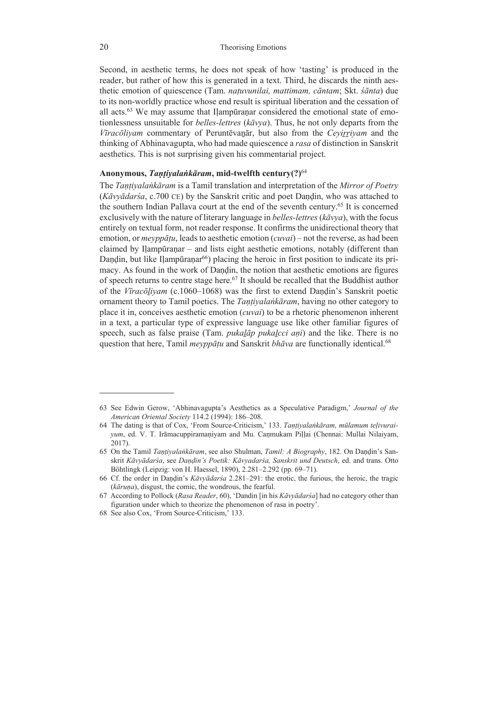Second, in aesthetic terms, he does not speak of how 'tasting' is produced in the reader, but rather of how this is generated in a text. Third, he discards the ninth aesthetic emotion of quiescence (Tam. *naṭuvunilai, mattimam, cāntam*; Skt. *śānta*) due to its non-worldly practice whose end result is spiritual liberation and the cessation of all acts. $63$  We may assume that Ilampūranar considered the emotional state of emotionlessness unsuitable for *belles-lettres* (*kāvya*). Thus, he not only departs from the *Vīracōliyam* commentary of Peruntēvaṉār, but also from the *Ceyiṟṟiyam* and the thinking of Abhinavagupta, who had made quiescence a *rasa* of distinction in Sanskrit aesthetics. This is not surprising given his commentarial project.

### **Anonymous,** *Taṇṭiyalaṅkāram***, mid-twelfth century(?)**<sup>64</sup>

The *Taṇṭiyalaṅkāram* is a Tamil translation and interpretation of the *Mirror of Poetry* (*Kāvyādarśa*, c.700 CE) by the Sanskrit critic and poet Daṇḍin, who was attached to the southern Indian Pallava court at the end of the seventh century.65 It is concerned exclusively with the nature of literary language in *belles-lettres* (*kāvya*), with the focus entirely on textual form, not reader response. It confirms the unidirectional theory that emotion, or *meyppāṭu*, leads to aesthetic emotion (*cuvai*) – not the reverse, as had been claimed by Iḷampūraṇar – and lists eight aesthetic emotions, notably (different than Daṇḍin, but like Iḷampūraṇar<sup>66</sup>) placing the heroic in first position to indicate its primacy. As found in the work of Daṇḍin, the notion that aesthetic emotions are figures of speech returns to centre stage here.67 It should be recalled that the Buddhist author of the *Vīracōḻiyam* (c.1060‒1068) was the first to extend Daṇḍin's Sanskrit poetic ornament theory to Tamil poetics. The *Taṇṭiyalaṅkāram*, having no other category to place it in, conceives aesthetic emotion (*cuvai*) to be a rhetoric phenomenon inherent in a text, a particular type of expressive language use like other familiar figures of speech, such as false praise (Tam. *pukaḻāp pukaḻcci aṇi*) and the like. There is no question that here, Tamil *meyppāṭu* and Sanskrit *bhāva* are functionally identical.68

<sup>63</sup> See Edwin Gerow, 'Abhinavagupta's Aesthetics as a Speculative Paradigm,' *Journal of the American Oriental Society* 114.2 (1994): 186‒208.

<sup>64</sup> The dating is that of Cox, 'From Source-Criticism,' 133. *Taṇṭiyalaṅkāram, mūlamum teḷivuraiyum*, ed. V. T. Irāmacuppiramaṇiyam and Mu. Caṇmukam Piḷḷai (Chennai: Mullai Nilaiyam, 2017).

<sup>65</sup> On the Tamil *Taṇṭiyalaṅkāram*, see also Shulman, *Tamil: A Biography*, 182. On Daṇḍin's Sanskrit *Kāvyādarśa*, see *Daṇḍin's Poetik: Kāvyadarśa, Sanskrit und Deutsch*, ed. and trans. Otto Böhtlingk (Leipzig: von H. Haessel, 1890), 2.281–2.292 (pp. 69–71).

<sup>66</sup> Cf. the order in Daṇḍin's *Kāvyādarśa* 2.281‒291: the erotic, the furious, the heroic, the tragic (*kāruṇa*), disgust, the comic, the wondrous, the fearful.

<sup>67</sup> According to Pollock (*Rasa Reader*, 60), 'Dandin [in his *Kāvyādarśa*] had no category other than figuration under which to theorize the phenomenon of rasa in poetry'.

<sup>68</sup> See also Cox, 'From Source-Criticism,' 133.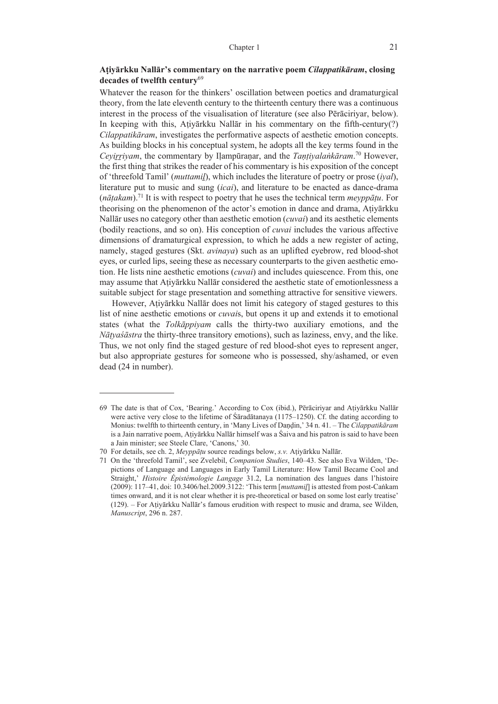# **Aṭiyārkku Nallār's commentary on the narrative poem** *Cilappatikāram***, closing decades of twelfth century**<sup>69</sup>

Whatever the reason for the thinkers' oscillation between poetics and dramaturgical theory, from the late eleventh century to the thirteenth century there was a continuous interest in the process of the visualisation of literature (see also Pērāciriyar, below). In keeping with this, Aṭiyārkku Nallār in his commentary on the fifth-century(?) *Cilappatikāram*, investigates the performative aspects of aesthetic emotion concepts. As building blocks in his conceptual system, he adopts all the key terms found in the *Ceyiṟṟiyam*, the commentary by Iḷampūraṇar, and the *Taṇṭiyalaṅkāram*. 70 However, the first thing that strikes the reader of his commentary is his exposition of the concept of 'threefold Tamil' (*muttamiḻ*), which includes the literature of poetry or prose (*iyal*), literature put to music and sung (*icai*), and literature to be enacted as dance-drama  $(n\bar{a}takam)^{71}$  It is with respect to poetry that he uses the technical term *meyppatu*. For theorising on the phenomenon of the actor's emotion in dance and drama, Aṭiyārkku Nallār uses no category other than aesthetic emotion (*cuvai*) and its aesthetic elements (bodily reactions, and so on). His conception of *cuvai* includes the various affective dimensions of dramaturgical expression, to which he adds a new register of acting, namely, staged gestures (Skt. *avinaya*) such as an uplifted eyebrow, red blood-shot eyes, or curled lips, seeing these as necessary counterparts to the given aesthetic emotion. He lists nine aesthetic emotions (*cuvai*) and includes quiescence. From this, one may assume that Aṭiyārkku Nallār considered the aesthetic state of emotionlessness a suitable subject for stage presentation and something attractive for sensitive viewers.

However, Aṭiyārkku Nallār does not limit his category of staged gestures to this list of nine aesthetic emotions or *cuvai*s, but opens it up and extends it to emotional states (what the *Tolkāppiyam* calls the thirty-two auxiliary emotions, and the *Nāṭyaśāstra* the thirty-three transitory emotions), such as laziness, envy, and the like. Thus, we not only find the staged gesture of red blood-shot eyes to represent anger, but also appropriate gestures for someone who is possessed, shy/ashamed, or even dead (24 in number).

<sup>69</sup> The date is that of Cox, 'Bearing.' According to Cox (ibid.), Pērāciriyar and Aṭiyārkku Nallār were active very close to the lifetime of  $\hat{\text{S}}\text{arad}$  at  $(1175-1250)$ . Cf. the dating according to Monius: twelfth to thirteenth century, in 'Many Lives of Daṇḍin,' 34 n. 41. ‒ The *Cilappatikāram* is a Jain narrative poem, Aṭiyārkku Nallār himself was a Śaiva and his patron is said to have been a Jain minister; see Steele Clare, 'Canons,' 30.

<sup>70</sup> For details, see ch. 2, *Meyppāṭu* source readings below, *s.v.* Aṭiyārkku Nallār.

<sup>71</sup> On the 'threefold Tamil', see Zvelebil, *Companion Studies*, 140–43. See also Eva Wilden, 'Depictions of Language and Languages in Early Tamil Literature: How Tamil Became Cool and Straight,' *Histoire Épistémologie Langage* 31.2, La nomination des langues dans l'histoire (2009): 117‒41, doi: 10.3406/hel.2009.3122: 'This term [*muttamiḻ*] is attested from post-Caṅkam times onward, and it is not clear whether it is pre-theoretical or based on some lost early treatise' (129). ‒ For Aṭiyārkku Nallār's famous erudition with respect to music and drama, see Wilden, *Manuscript*, 296 n. 287.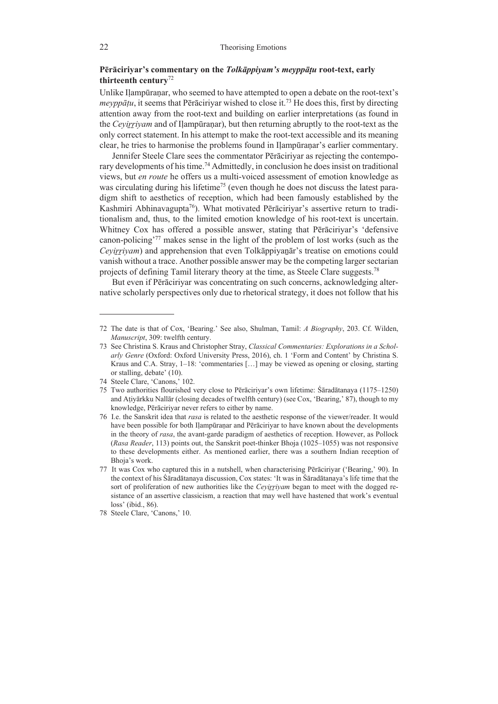# **Pērāciriyar's commentary on the** *Tolkāppiyam's meyppāṭu* **root-text, early thirteenth century**<sup>72</sup>

Unlike Ilampūranar, who seemed to have attempted to open a debate on the root-text's *meyppātu*, it seems that Pērāciriyar wished to close it.<sup>73</sup> He does this, first by directing attention away from the root-text and building on earlier interpretations (as found in the *Ceyiṟṟiyam* and of Iḷampūraṇar), but then returning abruptly to the root-text as the only correct statement. In his attempt to make the root-text accessible and its meaning clear, he tries to harmonise the problems found in Ilampūranar's earlier commentary.

Jennifer Steele Clare sees the commentator Pērāciriyar as rejecting the contemporary developments of his time.<sup>74</sup> Admittedly, in conclusion he does insist on traditional views, but *en route* he offers us a multi-voiced assessment of emotion knowledge as was circulating during his lifetime<sup>75</sup> (even though he does not discuss the latest paradigm shift to aesthetics of reception, which had been famously established by the Kashmiri Abhinavagupta<sup>76</sup>). What motivated Pērāciriyar's assertive return to traditionalism and, thus, to the limited emotion knowledge of his root-text is uncertain. Whitney Cox has offered a possible answer, stating that Pērāciriyar's 'defensive canon-policing'77 makes sense in the light of the problem of lost works (such as the *Ceyirriyam*) and apprehension that even Tolkāppiyanār's treatise on emotions could vanish without a trace. Another possible answer may be the competing larger sectarian projects of defining Tamil literary theory at the time, as Steele Clare suggests.78

But even if Pērāciriyar was concentrating on such concerns, acknowledging alternative scholarly perspectives only due to rhetorical strategy, it does not follow that his

<sup>72</sup> The date is that of Cox, 'Bearing.' See also, Shulman, Tamil: *A Biography*, 203. Cf. Wilden, *Manuscript*, 309: twelfth century.

<sup>73</sup> See Christina S. Kraus and Christopher Stray, *Classical Commentaries: Explorations in a Scholarly Genre* (Oxford: Oxford University Press, 2016), ch. 1 'Form and Content' by Christina S. Kraus and C.A. Stray,  $1-18$ : 'commentaries [...] may be viewed as opening or closing, starting or stalling, debate' (10).

<sup>74</sup> Steele Clare, 'Canons,' 102.

<sup>75</sup> Two authorities flourished very close to Pērāciriyar's own lifetime: Śāradātanaya (1175‒1250) and Aṭiyārkku Nallār (closing decades of twelfth century) (see Cox, 'Bearing,' 87), though to my knowledge, Pērāciriyar never refers to either by name.

<sup>76</sup> I.e. the Sanskrit idea that *rasa* is related to the aesthetic response of the viewer/reader. It would have been possible for both Ilampūraṇar and Pērāciriyar to have known about the developments in the theory of *rasa*, the avant-garde paradigm of aesthetics of reception. However, as Pollock (*Rasa Reader*, 113) points out, the Sanskrit poet-thinker Bhoja (1025–1055) was not responsive to these developments either. As mentioned earlier, there was a southern Indian reception of Bhoja's work.

<sup>77</sup> It was Cox who captured this in a nutshell, when characterising Pērāciriyar ('Bearing,' 90). In the context of his Śāradātanaya discussion, Cox states: 'It was in Śāradātanaya's life time that the sort of proliferation of new authorities like the *Ceyirriyam* began to meet with the dogged resistance of an assertive classicism, a reaction that may well have hastened that work's eventual loss' (ibid., 86).

<sup>78</sup> Steele Clare, 'Canons,' 10.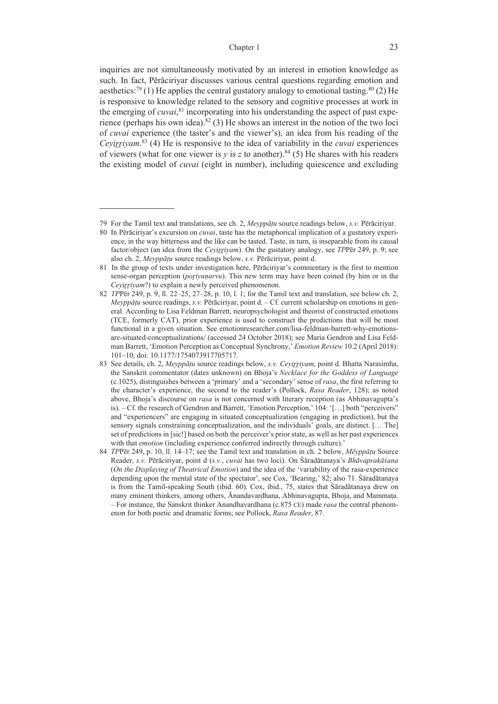inquiries are not simultaneously motivated by an interest in emotion knowledge as such. In fact, Pērāciriyar discusses various central questions regarding emotion and aesthetics:<sup>79</sup> (1) He applies the central gustatory analogy to emotional tasting.<sup>80</sup> (2) He is responsive to knowledge related to the sensory and cognitive processes at work in the emerging of *cuvai*, 81 incorporating into his understanding the aspect of past experience (perhaps his own idea).<sup>82</sup> (3) He shows an interest in the notion of the two loci of *cuvai* experience (the taster's and the viewer's), an idea from his reading of the *Ceyiṟṟiyam*. 83 (4) He is responsive to the idea of variability in the *cuvai* experiences of viewers (what for one viewer is  $y$  is z to another).<sup>84</sup> (5) He shares with his readers the existing model of *cuvai* (eight in number), including quiescence and excluding

<sup>79</sup> For the Tamil text and translations, see ch. 2, *Meyppāṭu* source readings below, *s.v.* Pērāciriyar.

<sup>80</sup> In Pērāciriyar's excursion on *cuvai*, taste has the metaphorical implication of a gustatory experience, in the way bitterness and the like can be tasted. Taste, in turn, is inseparable from its causal factor/object (an idea from the *Ceyiṟṟiyam*). On the gustatory analogy, see *TP*Pēr 249, p. 9; see also ch. 2, *Meyppāṭu* source readings below, *s.v.* Pērāciriyar, point d.

<sup>81</sup> In the group of texts under investigation here, Pērāciriyar's commentary is the first to mention sense-organ perception (*poṟiyuṇarvu*). This new term may have been coined (by him or in the *Ceyirriyam*?) to explain a newly perceived phenomenon.

<sup>82</sup> *TP*Pēr 249, p. 9, ll. 22–25, 27–28, p. 10, l. 1; for the Tamil text and translation, see below ch. 2, *Meyppāṭu* source readings, *s.v.* Pērāciriyar, point d. – Cf. current scholarship on emotions in general. According to Lisa Feldman Barrett, neuropsychologist and theorist of constructed emotions (TCE, formerly CAT), prior experience is used to construct the predictions that will be most functional in a given situation. See emotionresearcher.com/lisa-feldman-barrett-why-emotionsare-situated-conceptualizations/ (accessed 24 October 2018); see Maria Gendron and Lisa Feldman Barrett, 'Emotion Perception as Conceptual Synchrony,' *Emotion Review* 10.2 (April 2018): 101–10, doi: 10.1177/1754073917705717.

<sup>83</sup> See details, ch. 2, *Meyppāṭu* source readings below, *s.v. Ceyiṟṟiyam*, point d. Bhatta Narasimha, the Sanskrit commentator (dates unknown) on Bhoja's *Necklace for the Goddess of Language* (c.1025), distinguishes between a 'primary' and a 'secondary' sense of *rasa*, the first referring to the character's experience, the second to the reader's (Pollock, *Rasa Reader*, 128); as noted above, Bhoja's discourse on *rasa* is not concerned with literary reception (as Abhinavagupta's is). – Cf. the research of Gendron and Barrett, 'Emotion Perception,' 104: '[…] both "perceivers" and "experiencers" are engaging in situated conceptualization (engaging in prediction), but the sensory signals constraining conceptualization, and the individuals' goals, are distinct. [… The] set of predictions in [sic!] based on both the perceiver's prior state, as well as her past experiences with that *emotion* (including experience conferred indirectly through culture).'

<sup>84</sup> *TP*Pēr 249, p. 10, ll. 14–17; see the Tamil text and translation in ch. 2 below, *Mēyppāṭu* Source Reader, *s.v.* Pērāciriyar, point d (*s.v.*, *cuvai* has two loci). On Śāradātanaya's *Bhāvaprakāśana* (*On the Displaying of Theatrical Emotion*) and the idea of the 'variability of the rasa-experience depending upon the mental state of the spectator', see Cox, 'Bearing,' 82; also 71. Śāradātanaya is from the Tamil-speaking South (ibid. 60). Cox, ibid., 75, states that Śāradātanaya drew on many eminent thinkers, among others, Ānandavardhana, Abhinavagupta, Bhoja, and Mammaṭa. ‒ For instance, the Sanskrit thinker Anandhavardhana (c.875 CE) made *rasa* the central phenomenon for both poetic and dramatic forms; see Pollock, *Rasa Reader*, 87.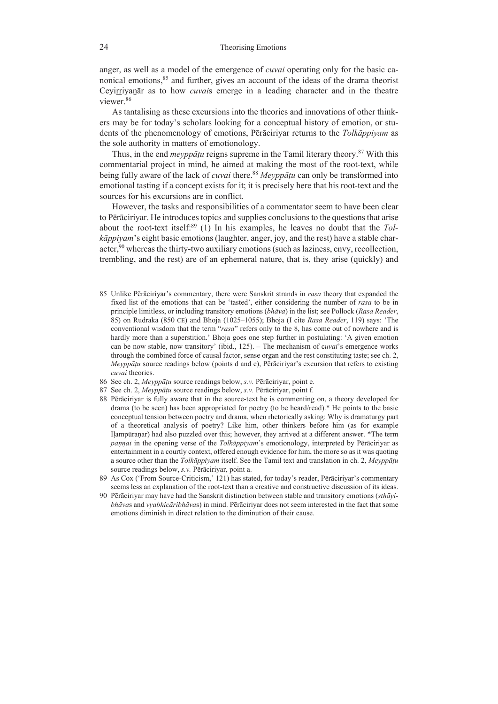anger, as well as a model of the emergence of *cuvai* operating only for the basic canonical emotions,<sup>85</sup> and further, gives an account of the ideas of the drama theorist Ceyirriyanar as to how *cuvais* emerge in a leading character and in the theatre viewer.86

As tantalising as these excursions into the theories and innovations of other thinkers may be for today's scholars looking for a conceptual history of emotion, or students of the phenomenology of emotions, Pērāciriyar returns to the *Tolkāppiyam* as the sole authority in matters of emotionology.

Thus, in the end *meyppāṭu* reigns supreme in the Tamil literary theory.87 With this commentarial project in mind, he aimed at making the most of the root-text, while being fully aware of the lack of *cuvai* there.88 *Meyppāṭu* can only be transformed into emotional tasting if a concept exists for it; it is precisely here that his root-text and the sources for his excursions are in conflict.

However, the tasks and responsibilities of a commentator seem to have been clear to Pērāciriyar. He introduces topics and supplies conclusions to the questions that arise about the root-text itself.<sup>89</sup> (1) In his examples, he leaves no doubt that the *Tolkāppiyam*'s eight basic emotions (laughter, anger, joy, and the rest) have a stable character,<sup>90</sup> whereas the thirty-two auxiliary emotions (such as laziness, envy, recollection, trembling, and the rest) are of an ephemeral nature, that is, they arise (quickly) and

<sup>85</sup> Unlike Pērāciriyar's commentary, there were Sanskrit strands in *rasa* theory that expanded the fixed list of the emotions that can be 'tasted', either considering the number of *rasa* to be in principle limitless, or including transitory emotions (*bhāva*) in the list; see Pollock (*Rasa Reader*, 85) on Rudraka (850 CE) and Bhoja (1025‒1055); Bhoja (I cite *Rasa Reader*, 119) says: 'The conventional wisdom that the term "*rasa*" refers only to the 8, has come out of nowhere and is hardly more than a superstition.' Bhoja goes one step further in postulating: 'A given emotion can be now stable, now transitory' (ibid., 125). ‒ The mechanism of c*uvai*'s emergence works through the combined force of causal factor, sense organ and the rest constituting taste; see ch. 2, *Meyppāṭu* source readings below (points d and e), Pērāciriyar's excursion that refers to existing *cuvai* theories.

<sup>86</sup> See ch. 2, *Meyppāṭu* source readings below, *s.v.* Pērāciriyar, point e.

<sup>87</sup> See ch. 2, *Meyppāṭu* source readings below, *s.v.* Pērāciriyar, point f.

<sup>88</sup> Pērāciriyar is fully aware that in the source-text he is commenting on, a theory developed for drama (to be seen) has been appropriated for poetry (to be heard/read).\* He points to the basic conceptual tension between poetry and drama, when rhetorically asking: Why is dramaturgy part of a theoretical analysis of poetry? Like him, other thinkers before him (as for example Iḷampūraṇar) had also puzzled over this; however, they arrived at a different answer. \*The term *paṇṇai* in the opening verse of the *Tolkāppiyam*'s emotionology, interpreted by Pērāciriyar as entertainment in a courtly context, offered enough evidence for him, the more so as it was quoting a source other than the *Tolkāppiyam* itself. See the Tamil text and translation in ch. 2, *Meyppāṭu*  source readings below, *s.v.* Pērāciriyar, point a.

<sup>89</sup> As Cox ('From Source-Criticism,' 121) has stated, for today's reader, Pērāciriyar's commentary seems less an explanation of the root-text than a creative and constructive discussion of its ideas.

<sup>90</sup> Pērāciriyar may have had the Sanskrit distinction between stable and transitory emotions (*sthāyibhāva*s and *vyabhicāribhāva*s) in mind. Pērāciriyar does not seem interested in the fact that some emotions diminish in direct relation to the diminution of their cause.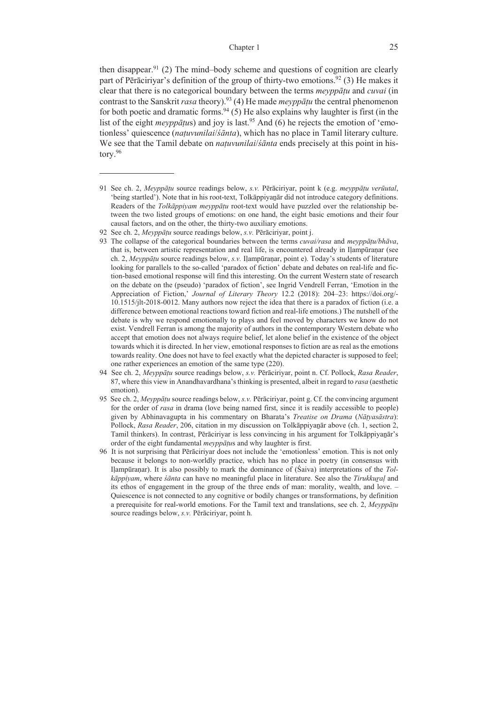then disappear.<sup>91</sup> (2) The mind-body scheme and questions of cognition are clearly part of Pērāciriyar's definition of the group of thirty-two emotions.<sup>92</sup> (3) He makes it clear that there is no categorical boundary between the terms *meyppāṭu* and *cuvai* (in contrast to the Sanskrit *rasa* theory).93 (4) He made *meyppāṭu* the central phenomenon for both poetic and dramatic forms.  $94$  (5) He also explains why laughter is first (in the list of the eight *meyppatus*) and joy is last.<sup>95</sup> And (6) he rejects the emotion of 'emotionless' quiescence (*naṭuvunilai*/*śānta*), which has no place in Tamil literary culture. We see that the Tamil debate on *naṭuvunilai*/*śānta* ends precisely at this point in history.96

<sup>91</sup> See ch. 2, *Meyppāṭu* source readings below, *s.v.* Pērāciriyar, point k (e.g. *meyppāṭu verūutal*, 'being startled'). Note that in his root-text, Tolkāppiyaṉār did not introduce category definitions. Readers of the *Tolkāppiyam meyppāṭu* root-text would have puzzled over the relationship between the two listed groups of emotions: on one hand, the eight basic emotions and their four causal factors, and on the other, the thirty-two auxiliary emotions.

<sup>92</sup> See ch. 2, *Meyppāṭu* source readings below, *s.v.* Pērāciriyar, point j.

<sup>93</sup> The collapse of the categorical boundaries between the terms *cuvai/rasa* and *meyppāṭu/bhāva*, that is, between artistic representation and real life, is encountered already in Iḷampūraṇar (see ch. 2, *Meyppāṭu* source readings below, *s.v.* Iḷampūraṇar, point e). Today's students of literature looking for parallels to the so-called 'paradox of fiction' debate and debates on real-life and fiction-based emotional response will find this interesting. On the current Western state of research on the debate on the (pseudo) 'paradox of fiction', see Ingrid Vendrell Ferran, 'Emotion in the Appreciation of Fiction,' *Journal of Literary Theory* 12.2 (2018): 204‒23: https://doi.org/- 10.1515/jlt-2018-0012. Many authors now reject the idea that there is a paradox of fiction (i.e. a difference between emotional reactions toward fiction and real-life emotions.) The nutshell of the debate is why we respond emotionally to plays and feel moved by characters we know do not exist. Vendrell Ferran is among the majority of authors in the contemporary Western debate who accept that emotion does not always require belief, let alone belief in the existence of the object towards which it is directed. In her view, emotional responses to fiction are as real as the emotions towards reality. One does not have to feel exactly what the depicted character is supposed to feel; one rather experiences an emotion of the same type (220).

<sup>94</sup> See ch. 2, *Meyppāṭu* source readings below, *s.v.* Pērāciriyar, point n. Cf. Pollock, *Rasa Reader*, 87, where this view in Anandhavardhana's thinking is presented, albeit in regard to *rasa* (aesthetic emotion).

<sup>95</sup> See ch. 2, *Meyppāṭu* source readings below, *s.v.* Pērāciriyar, point g. Cf. the convincing argument for the order of *rasa* in drama (love being named first, since it is readily accessible to people) given by Abhinavagupta in his commentary on Bharata's *Treatise on Drama* (*Nāṭyasāstra*): Pollock, *Rasa Reader*, 206, citation in my discussion on Tolkāppiyaṉār above (ch. 1, section 2, Tamil thinkers). In contrast, Pērāciriyar is less convincing in his argument for Tolkāppiyaṉār's order of the eight fundamental *meyppāṭu*s and why laughter is first.

<sup>96</sup> It is not surprising that Pērāciriyar does not include the 'emotionless' emotion. This is not only because it belongs to non-worldly practice, which has no place in poetry (in consensus with Iḷampūraṇar). It is also possibly to mark the dominance of (Śaiva) interpretations of the *Tolkāppiyam*, where *śānta* can have no meaningful place in literature. See also the *Tirukkuṟaḷ* and its ethos of engagement in the group of the three ends of man: morality, wealth, and love. – Quiescence is not connected to any cognitive or bodily changes or transformations, by definition a prerequisite for real-world emotions. For the Tamil text and translations, see ch. 2, *Meyppāṭu*  source readings below, *s.v.* Pērāciriyar, point h.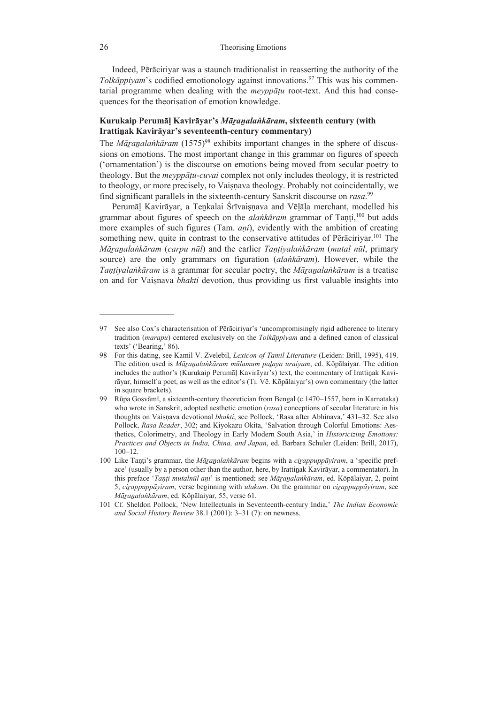Indeed, Pērāciriyar was a staunch traditionalist in reasserting the authority of the *Tolkāppiyam*'s codified emotionology against innovations.97 This was his commentarial programme when dealing with the *meyppāṭu* root-text. And this had consequences for the theorisation of emotion knowledge.

# **Kurukaip Perumāḷ Kavirāyar's** *Māṟaṉalaṅkāram***, sixteenth century (with Irattiṉak Kavirāyar's seventeenth-century commentary)**

The *Māranalankāram* (1575)<sup>98</sup> exhibits important changes in the sphere of discussions on emotions. The most important change in this grammar on figures of speech ('ornamentation') is the discourse on emotions being moved from secular poetry to theology. But the *meyppāṭu-cuvai* complex not only includes theology, it is restricted to theology, or more precisely, to Vaisnava theology. Probably not coincidentally, we find significant parallels in the sixteenth-century Sanskrit discourse on *rasa*. 99

Perumāl Kavirāyar, a Tenkalai Śrīvaisnava and Vēlāla merchant, modelled his grammar about figures of speech on the *alaṅkāram* grammar of Taṇṭi,100 but adds more examples of such figures (Tam. *aṇi*), evidently with the ambition of creating something new, quite in contrast to the conservative attitudes of Pērāciriyar.<sup>101</sup> The Māranalankāram (carpu nūl) and the earlier Tantivalankāram (mutal nūl, primary source) are the only grammars on figuration (*alaṅkāram*). However, while the *Taṇṭiyalaṅkāram* is a grammar for secular poetry, the *Māṟaṉalaṅkāram* is a treatise on and for Vaiṣnava *bhakti* devotion, thus providing us first valuable insights into

<sup>97</sup> See also Cox's characterisation of Pērāciriyar's 'uncompromisingly rigid adherence to literary tradition (*marapu*) centered exclusively on the *Tolkāppiyam* and a defined canon of classical texts' ('Bearing,' 86).

<sup>98</sup> For this dating, see Kamil V. Zvelebil, *Lexicon of Tamil Literature* (Leiden: Brill, 1995), 419. The edition used is *Māṟaṉalaṅkāram mūlamum paḻaya uraiyum*, ed. Kōpālaiyar. The edition includes the author's (Kurukaip Perumāḷ Kavirāyar's) text, the commentary of Irattiṉak Kavirāyar, himself a poet, as well as the editor's (Ti. Vē. Kōpālaiyar's) own commentary (the latter in square brackets).

<sup>99</sup> Rūpa Gosvāmī, a sixteenth-century theoretician from Bengal (c.1470–1557, born in Karnataka) who wrote in Sanskrit, adopted aesthetic emotion (*rasa*) conceptions of secular literature in his thoughts on Vaiṣṇava devotional *bhakti*; see Pollock, 'Rasa after Abhinava,' 431–32. See also Pollock, *Rasa Reader*, 302; and Kiyokazu Okita, 'Salvation through Colorful Emotions: Aesthetics, Colorimetry, and Theology in Early Modern South Asia,' in *Historicizing Emotions: Practices and Objects in India, China, and Japan*, ed. Barbara Schuler (Leiden: Brill, 2017), 100–12.

<sup>100</sup> Like Taṇṭi's grammar, the *Māṟaṉalaṅkāram* begins with a *ciṟappuppāyiram*, a 'specific preface' (usually by a person other than the author, here, by Irattinak Kavirāyar, a commentator). In this preface '*Taṇṭi mutalnūl aṇi*' is mentioned; see *Māṟaṉalaṅkāram*, ed. Kōpālaiyar, 2, point 5, *ciṟappuppāyiram*, verse beginning with *ulakam*. On the grammar on *ciṟappuppāyiram*, see *Māṟaṉalaṅkāram*, ed. Kōpālaiyar, 55, verse 61.

<sup>101</sup> Cf. Sheldon Pollock, 'New Intellectuals in Seventeenth-century India,' *The Indian Economic and Social History Review* 38.1 (2001): 3‒31 (7): on newness.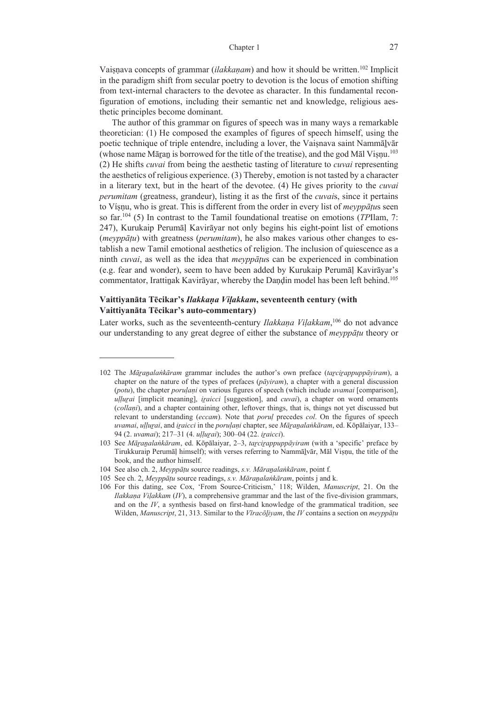Vaisnava concepts of grammar *(ilakkanam)* and how it should be written.<sup>102</sup> Implicit in the paradigm shift from secular poetry to devotion is the locus of emotion shifting from text-internal characters to the devotee as character. In this fundamental reconfiguration of emotions, including their semantic net and knowledge, religious aesthetic principles become dominant.

The author of this grammar on figures of speech was in many ways a remarkable theoretician: (1) He composed the examples of figures of speech himself, using the poetic technique of triple entendre, including a lover, the Vaisnava saint Nammālvār (whose name Māran is borrowed for the title of the treatise), and the god Māl Visnu.<sup>103</sup> (2) He shifts *cuvai* from being the aesthetic tasting of literature to *cuvai* representing the aesthetics of religious experience. (3) Thereby, emotion is not tasted by a character in a literary text, but in the heart of the devotee. (4) He gives priority to the *cuvai perumitam* (greatness, grandeur), listing it as the first of the *cuvai*s, since it pertains to Víṣṇu, who is great. This is different from the order in every list of *meyppāṭu*s seen so far.104 (5) In contrast to the Tamil foundational treatise on emotions (*TP*Ilam, 7: 247), Kurukaip Perumāḷ Kavirāyar not only begins his eight-point list of emotions (*meyppāṭu*) with greatness (*perumitam*), he also makes various other changes to establish a new Tamil emotional aesthetics of religion. The inclusion of quiescence as a ninth *cuvai*, as well as the idea that *meyppāṭu*s can be experienced in combination (e.g. fear and wonder), seem to have been added by Kurukaip Perumāḷ Kavirāyar's commentator, Irattinak Kavirāyar, whereby the Daṇḍin model has been left behind.<sup>105</sup>

# **Vaittiyanāta Tēcikar's** *Ilakkaṇa Viḷakkam***, seventeenth century (with Vaittiyanāta Tēcikar's auto-commentary)**

Later works, such as the seventeenth-century *Ilakkaṇa Viḷakkam*, 106 do not advance our understanding to any great degree of either the substance of *meyppāṭu* theory or

<sup>102</sup> The *Māṟaṉalaṅkāram* grammar includes the author's own preface (*taṟciṟappuppāyiram*), a chapter on the nature of the types of prefaces (*pāyiram*), a chapter with a general discussion (*potu*), the chapter *poruḷaṇi* on various figures of speech (which include *uvamai* [comparison], *uḷḷuṟai* [implicit meaning], *iṟaicci* [suggestion], and *cuvai*), a chapter on word ornaments (*collaṇi*), and a chapter containing other, leftover things, that is, things not yet discussed but relevant to understanding (*eccam*). Note that *poruḷ* precedes *col*. On the figures of speech *uvamai, ullurai, and iraicci* in the *porulani* chapter, see *Māranalankāram*, ed. Kōpālaiyar, 133– 94 (2. *uvamai*); 217‒31 (4. *uḷḷuṟai*); 300‒04 (22. *iṟaicci*).

<sup>103</sup> See *Māṟaṉalaṅkāram*, ed. Kōpālaiyar, 2‒3, *taṟciṟappuppāyiram* (with a 'specific' preface by Tirukkuraip Perumāḷ himself); with verses referring to Nammāḻvār, Māl Viṣṇu, the title of the book, and the author himself.

<sup>104</sup> See also ch. 2, *Meyppāṭu* source readings, *s.v. Māraṉalaṅkāram*, point f.

<sup>105</sup> See ch. 2, *Meyppāṭu* source readings, *s.v. Māraṉalaṅkāram*, points j and k.

<sup>106</sup> For this dating, see Cox, 'From Source-Criticism,' 118; Wilden, *Manuscript*, 21. On the *Ilakkaṇa Viḷakkam* (*IV*), a comprehensive grammar and the last of the five-division grammars, and on the *IV*, a synthesis based on first-hand knowledge of the grammatical tradition, see Wilden, *Manuscript*, 21, 313. Similar to the *Vīracōḻiyam*, the *IV* contains a section on *meyppāṭu*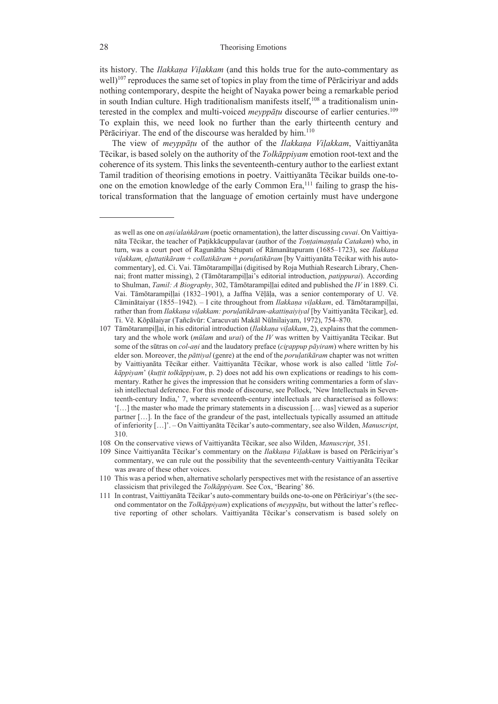its history. The *Ilakkaṇa Viḷakkam* (and this holds true for the auto-commentary as well)<sup>107</sup> reproduces the same set of topics in play from the time of Pērāciriyar and adds nothing contemporary, despite the height of Nayaka power being a remarkable period in south Indian culture. High traditionalism manifests itself,  $108$  a traditionalism uninterested in the complex and multi-voiced *meyppāṭu* discourse of earlier centuries.109 To explain this, we need look no further than the early thirteenth century and Pērāciriyar. The end of the discourse was heralded by him.<sup>110</sup>

The view of *meyppāṭu* of the author of the *Ilakkaṇa Viḷakkam*, Vaittiyanāta Tēcikar, is based solely on the authority of the *Tolkāppiyam* emotion root-text and the coherence of its system. This links the seventeenth-century author to the earliest extant Tamil tradition of theorising emotions in poetry. Vaittiyanāta Tēcikar builds one-toone on the emotion knowledge of the early Common Era,111 failing to grasp the historical transformation that the language of emotion certainly must have undergone

- 107 Tāmōtarampiḷḷai, in his editorial introduction (*Ilakkaṇa viḷakkam*, 2), explains that the commentary and the whole work (*mūlam* and *urai*) of the *IV* was written by Vaittiyanāta Tēcikar. But some of the sūtras on *col-aṇi* and the laudatory preface (*ciṟappup pāyiram*) where written by his elder son. Moreover, the *pāttiyal* (genre) at the end of the *poruḷatikāram* chapter was not written by Vaittiyanāta Tēcikar either. Vaittiyanāta Tēcikar, whose work is also called 'little *Tolkāppiyam*' (*kuṭṭit tolkāppiyam*, p. 2) does not add his own explications or readings to his commentary. Rather he gives the impression that he considers writing commentaries a form of slavish intellectual deference. For this mode of discourse, see Pollock, 'New Intellectuals in Seventeenth-century India,' 7, where seventeenth-century intellectuals are characterised as follows: '[…] the master who made the primary statements in a discussion [… was] viewed as a superior partner […]. In the face of the grandeur of the past, intellectuals typically assumed an attitude of inferiority […]'. ‒ On Vaittiyanāta Tēcikar's auto-commentary, see also Wilden, *Manuscript*, 310.
- 108 On the conservative views of Vaittiyanāta Tēcikar, see also Wilden, *Manuscript*, 351.
- 109 Since Vaittiyanāta Tēcikar's commentary on the *Ilakkaṇa Viḷakkam* is based on Pērāciriyar's commentary, we can rule out the possibility that the seventeenth-century Vaittiyanāta Tēcikar was aware of these other voices.
- 110 This was a period when, alternative scholarly perspectives met with the resistance of an assertive classicism that privileged the *Tolkāppiyam*. See Cox, 'Bearing' 86.
- 111 In contrast, Vaittiyanāta Tēcikar's auto-commentary builds one-to-one on Pērāciriyar's (the second commentator on the *Tolkāppiyam*) explications of *meyppāṭu*, but without the latter's reflective reporting of other scholars. Vaittiyanāta Tēcikar's conservatism is based solely on

as well as one on *aṇi/alaṅkāram* (poetic ornamentation), the latter discussing *cuvai*. On Vaittiyanāta Tēcikar, the teacher of Paṭikkācuppulavar (author of the *Toṇṭaimaṇṭala Catakam*) who, in turn, was a court poet of Ragunātha Sētupati of Rāmanātapuram (1685–1723), see *Ilakkaṇa viḷakkam, eḻuttatikāram + collatikāram + poruḷatikāram* [by Vaittiyanāta Tēcikar with his autocommentary], ed. Ci. Vai. Tāmōtarampiḷḷai (digitised by Roja Muthiah Research Library, Chennai; front matter missing), 2 (Tāmōtarampiḷḷai's editorial introduction, *patippurai*). According to Shulman, *Tamil: A Biography*, 302, Tāmōtarampiḷḷai edited and published the *IV* in 1889. Ci. Vai. Tāmōtarampiḷḷai (1832‒1901), a Jaffna Vēḷāḷa, was a senior contemporary of U. Vē. Cāminātaiyar (1855‒1942). ‒ I cite throughout from *Ilakkaṇa viḷakkam*, ed. Tāmōtarampiḷḷai, rather than from *Ilakkaṇa viḷakkam: poruḷatikāram-akattiṇaiyiyal* [by Vaittiyanāta Tēcikar], ed. Ti. Vē. Kōpālaiyar (Tañcāvūr: Caracuvati Makāl Nūlnilaiyam, 1972), 754–870.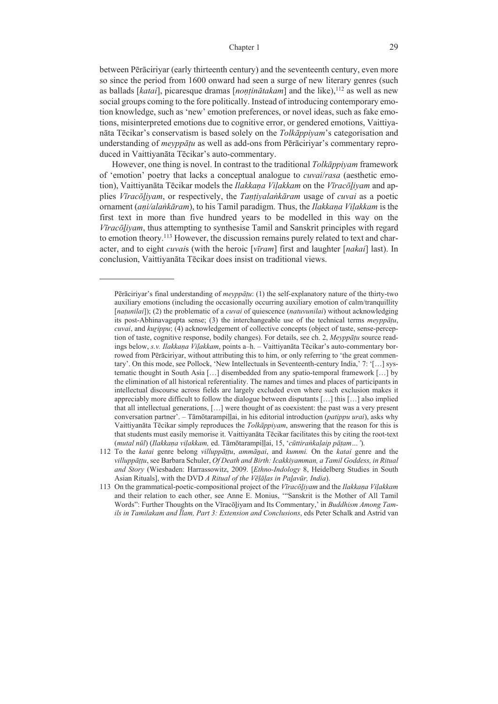between Pērāciriyar (early thirteenth century) and the seventeenth century, even more so since the period from 1600 onward had seen a surge of new literary genres (such as ballads [katai], picaresque dramas [*nontinātakam*] and the like),<sup>112</sup> as well as new social groups coming to the fore politically. Instead of introducing contemporary emotion knowledge, such as 'new' emotion preferences, or novel ideas, such as fake emotions, misinterpreted emotions due to cognitive error, or gendered emotions, Vaittiyanāta Tēcikar's conservatism is based solely on the *Tolkāppiyam*'s categorisation and understanding of *meyppāṭu* as well as add-ons from Pērāciriyar's commentary reproduced in Vaittiyanāta Tēcikar's auto-commentary.

However, one thing is novel. In contrast to the traditional *Tolkāppiyam* framework of 'emotion' poetry that lacks a conceptual analogue to *cuvai*/*rasa* (aesthetic emotion), Vaittiyanāta Tēcikar models the *Ilakkaṇa Viḷakkam* on the *Vīracōḻiyam* and applies *Vīracōḻiyam*, or respectively, the *Taṇṭiyalaṅkāram* usage of *cuvai* as a poetic ornament (*aṇi/alaṅkāram*), to his Tamil paradigm. Thus, the *Ilakkaṇa Viḷakkam* is the first text in more than five hundred years to be modelled in this way on the *Vīracōḻiyam*, thus attempting to synthesise Tamil and Sanskrit principles with regard to emotion theory.<sup>113</sup> However, the discussion remains purely related to text and character, and to eight *cuvai*s (with the heroic [*vīram*] first and laughter [*nakai*] last). In conclusion, Vaittiyanāta Tēcikar does insist on traditional views.

Pērāciriyar's final understanding of *meyppāṭu*: (1) the self-explanatory nature of the thirty-two auxiliary emotions (including the occasionally occurring auxiliary emotion of calm/tranquillity [*naṭunilai*]); (2) the problematic of a *cuvai* of quiescence (*natuvunilai*) without acknowledging its post-Abhinavagupta sense; (3) the interchangeable use of the technical terms *meyppāṭu*, *cuvai*, and *kuṟippu*; (4) acknowledgement of collective concepts (object of taste, sense-perception of taste, cognitive response, bodily changes). For details, see ch. 2, *Meyppāṭu* source readings below, *s.v. Ilakkaṇa Viḷakkam*, points a‒h. ‒ Vaittiyanāta Tēcikar's auto-commentary borrowed from Pērāciriyar, without attributing this to him, or only referring to 'the great commentary'. On this mode, see Pollock, 'New Intellectuals in Seventeenth-century India,' 7: '[…] systematic thought in South Asia […] disembedded from any spatio-temporal framework […] by the elimination of all historical referentiality. The names and times and places of participants in intellectual discourse across fields are largely excluded even where such exclusion makes it appreciably more difficult to follow the dialogue between disputants […] this […] also implied that all intellectual generations, […] were thought of as coexistent: the past was a very present conversation partner'. ‒ Tāmōtarampiḷḷai, in his editorial introduction (*patippu urai*), asks why Vaittiyanāta Tēcikar simply reproduces the *Tolkāppiyam*, answering that the reason for this is that students must easily memorise it. Vaittiyanāta Tēcikar facilitates this by citing the root-text (*mutal nūl*) (*Ilakkaṇa viḷakkam,* ed. Tāmōtarampiḷḷai, 15, '*cūttiraṅkaḷaip pāṭam…'*).

<sup>112</sup> To the *katai* genre belong *villuppāṭṭu*, *ammāṉai*, and *kummi.* On the *katai* genre and the *villuppāṭṭu*, see Barbara Schuler, *Of Death and Birth: Icakkiyamman, a Tamil Goddess, in Ritual and Story* (Wiesbaden: Harrassowitz, 2009. [*Ethno-Indology* 8, Heidelberg Studies in South Asian Rituals], with the DVD *A Ritual of the Vēḷāḷas in Paḻavūr, India*).

<sup>113</sup> On the grammatical-poetic-compositional project of the *Vīracōḻiyam* and the *Ilakkaṇa Viḷakkam* and their relation to each other, see Anne E. Monius, '"Sanskrit is the Mother of All Tamil Words": Further Thoughts on the Vīracōḻiyam and Its Commentary,' in *Buddhism Among Tamils in Tamilakam and Īlam, Part 3: Extension and Conclusions*, eds Peter Schalk and Astrid van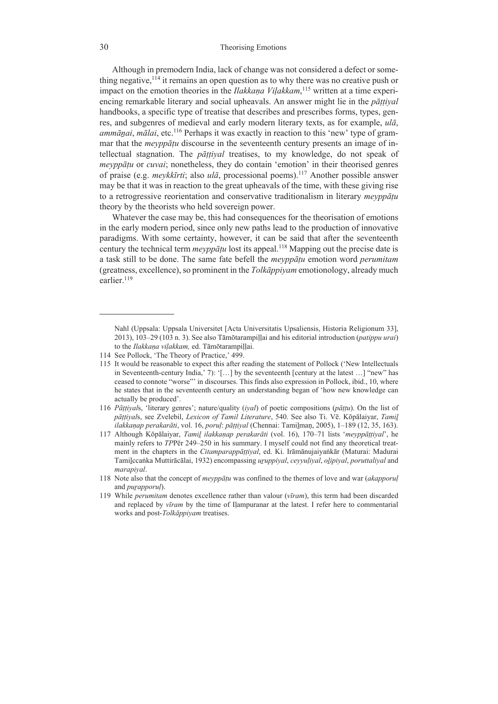Although in premodern India, lack of change was not considered a defect or something negative,  $114$  it remains an open question as to why there was no creative push or impact on the emotion theories in the *Ilakkaṇa Viḷakkam*, 115 written at a time experiencing remarkable literary and social upheavals. An answer might lie in the *pāṭṭiyal* handbooks, a specific type of treatise that describes and prescribes forms, types, genres, and subgenres of medieval and early modern literary texts, as for example, *ulā*, *ammāṉai*, *mālai*, etc.116 Perhaps it was exactly in reaction to this 'new' type of grammar that the *meyppāṭu* discourse in the seventeenth century presents an image of intellectual stagnation. The *pāṭṭiyal* treatises, to my knowledge, do not speak of *meyppāṭu* or *cuvai*; nonetheless, they do contain 'emotion' in their theorised genres of praise (e.g. *meykkīrti*; also *ulā*, processional poems).117 Another possible answer may be that it was in reaction to the great upheavals of the time, with these giving rise to a retrogressive reorientation and conservative traditionalism in literary *meyppāṭu* theory by the theorists who held sovereign power.

Whatever the case may be, this had consequences for the theorisation of emotions in the early modern period, since only new paths lead to the production of innovative paradigms. With some certainty, however, it can be said that after the seventeenth century the technical term *meyppāṭu* lost its appeal.118 Mapping out the precise date is a task still to be done. The same fate befell the *meyppāṭu* emotion word *perumitam* (greatness, excellence), so prominent in the *Tolkāppiyam* emotionology, already much earlier.<sup>119</sup>

Nahl (Uppsala: Uppsala Universitet [Acta Universitatis Upsaliensis, Historia Religionum 33], 2013), 103–29 (103 n. 3). See also Tāmōtarampiḷḷai and his editorial introduction (*patippu urai*) to the *Ilakkaṇa viḷakkam,* ed. Tāmōtarampiḷḷai.

<sup>114</sup> See Pollock, 'The Theory of Practice,' 499.

<sup>115</sup> It would be reasonable to expect this after reading the statement of Pollock ('New Intellectuals in Seventeenth-century India,' 7): '[…] by the seventeenth [century at the latest …] "new" has ceased to connote "worse"' in discourses. This finds also expression in Pollock, ibid., 10, where he states that in the seventeenth century an understanding began of 'how new knowledge can actually be produced'.

<sup>116</sup> *Pāṭṭiyal*s, 'literary genres'; nature/quality (*iyal*) of poetic compositions (*pāṭṭu*). On the list of *pāṭṭiyal*s, see Zvelebil, *Lexicon of Tamil Literature*, 540. See also Ti. Vē. Kōpālaiyar, *Tamiḻ ilakkaṇap perakarāti*, vol. 16, *poruḷ*: *pāṭṭiyal* (Chennai: Tamiḻmaṇ, 2005), 1–189 (12, 35, 163).

<sup>117</sup> Although Kōpālaiyar, *Tamiḻ ilakkaṇap perakarāti* (vol. 16), 170–71 lists '*meyppāṭṭiyal*', he mainly refers to *TP*Pēr 249–250 in his summary. I myself could not find any theoretical treatment in the chapters in the *Citamparappāṭṭiyal*, ed. Ki. Irāmānujaiyaṅkār (Maturai: Madurai Tamiḻccaṅka Muttirācālai, 1932) encompassing *uṟuppiyal*, *ceyyuḷiyal*, *oḻipiyal*, *poruttaliyal* and *marapiyal*.

<sup>118</sup> Note also that the concept of *meyppāṭu* was confined to the themes of love and war (*akapporuḷ* and *purapporul*).

<sup>119</sup> While *perumitam* denotes excellence rather than valour (*vīram*), this term had been discarded and replaced by *vīram* by the time of Iḷampuranar at the latest. I refer here to commentarial works and post-*Tolkāppiyam* treatises.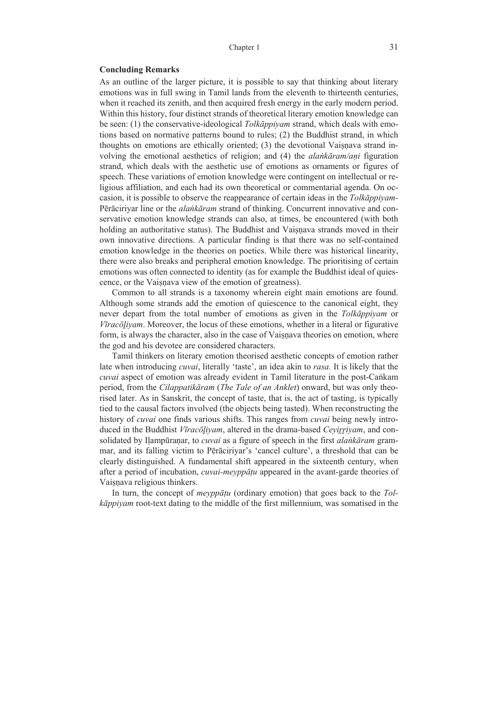#### **Concluding Remarks**

As an outline of the larger picture, it is possible to say that thinking about literary emotions was in full swing in Tamil lands from the eleventh to thirteenth centuries, when it reached its zenith, and then acquired fresh energy in the early modern period. Within this history, four distinct strands of theoretical literary emotion knowledge can be seen: (1) the conservative-ideological *Tolkāppiyam* strand, which deals with emotions based on normative patterns bound to rules; (2) the Buddhist strand, in which thoughts on emotions are ethically oriented; (3) the devotional Vaiṣṇava strand involving the emotional aesthetics of religion; and (4) the *alaṅkāram/aṇi* figuration strand, which deals with the aesthetic use of emotions as ornaments or figures of speech. These variations of emotion knowledge were contingent on intellectual or religious affiliation, and each had its own theoretical or commentarial agenda. On occasion, it is possible to observe the reappearance of certain ideas in the *Tolkāppiyam-*Pērāciriyar line or the *alaṅkāram* strand of thinking. Concurrent innovative and conservative emotion knowledge strands can also, at times, be encountered (with both holding an authoritative status). The Buddhist and Vaisnava strands moved in their own innovative directions. A particular finding is that there was no self-contained emotion knowledge in the theories on poetics. While there was historical linearity, there were also breaks and peripheral emotion knowledge. The prioritising of certain emotions was often connected to identity (as for example the Buddhist ideal of quiescence, or the Vaisnava view of the emotion of greatness).

Common to all strands is a taxonomy wherein eight main emotions are found. Although some strands add the emotion of quiescence to the canonical eight, they never depart from the total number of emotions as given in the *Tolkāppiyam* or *Vīracōḻiyam*. Moreover, the locus of these emotions, whether in a literal or figurative form, is always the character, also in the case of Vaisnava theories on emotion, where the god and his devotee are considered characters.

Tamil thinkers on literary emotion theorised aesthetic concepts of emotion rather late when introducing *cuvai*, literally 'taste', an idea akin to *rasa.* It is likely that the *cuvai* aspect of emotion was already evident in Tamil literature in the post-Caṅkam period, from the *Cilappatikāram* (*The Tale of an Anklet*) onward, but was only theorised later. As in Sanskrit, the concept of taste, that is, the act of tasting, is typically tied to the causal factors involved (the objects being tasted). When reconstructing the history of *cuvai* one finds various shifts. This ranges from *cuvai* being newly introduced in the Buddhist *Vīracōḻiyam*, altered in the drama-based *Ceyiṟṟiyam*, and consolidated by Iḷampūraṇar, to *cuvai* as a figure of speech in the first *alaṅkāram* grammar, and its falling victim to Pērāciriyar's 'cancel culture', a threshold that can be clearly distinguished. A fundamental shift appeared in the sixteenth century, when after a period of incubation, *cuvai-meyppāṭu* appeared in the avant-garde theories of Vaiṣṇava religious thinkers.

In turn, the concept of *meyppāṭu* (ordinary emotion) that goes back to the *Tolkāppiyam* root-text dating to the middle of the first millennium, was somatised in the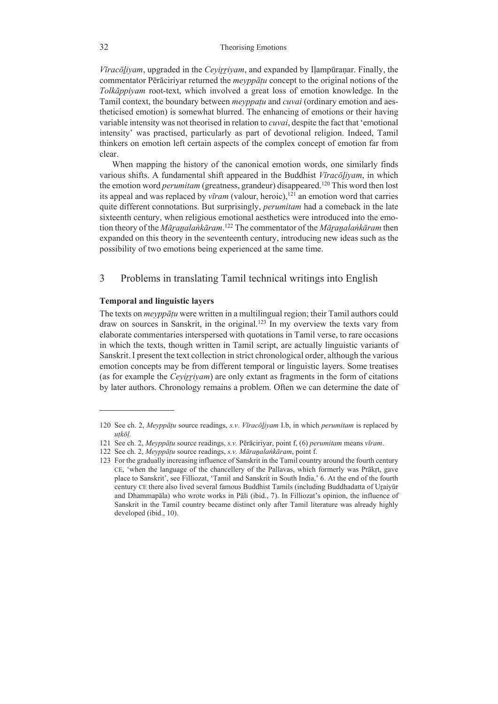*Vīracōḻiyam*, upgraded in the *Ceyiṟṟiyam*, and expanded by Iḷampūraṇar. Finally, the commentator Pērāciriyar returned the *meyppāṭu* concept to the original notions of the *Tolkāppiyam* root-text, which involved a great loss of emotion knowledge. In the Tamil context, the boundary between *meyppaṭu* and *cuvai* (ordinary emotion and aestheticised emotion) is somewhat blurred. The enhancing of emotions or their having variable intensity was not theorised in relation to *cuvai*, despite the fact that 'emotional intensity' was practised, particularly as part of devotional religion. Indeed, Tamil thinkers on emotion left certain aspects of the complex concept of emotion far from clear.

When mapping the history of the canonical emotion words, one similarly finds various shifts. A fundamental shift appeared in the Buddhist *Vīracōḻiyam*, in which the emotion word *perumitam* (greatness, grandeur) disappeared.<sup>120</sup> This word then lost its appeal and was replaced by  $v\bar{\iota}$ *ram* (valour, heroic),<sup>121</sup> an emotion word that carries quite different connotations. But surprisingly, *perumitam* had a comeback in the late sixteenth century, when religious emotional aesthetics were introduced into the emotion theory of the *Māṟaṉalaṅkāram*. 122 The commentator of the *Māṟaṉalaṅkāram* then expanded on this theory in the seventeenth century, introducing new ideas such as the possibility of two emotions being experienced at the same time.

# 3 Problems in translating Tamil technical writings into English

#### **Temporal and linguistic layers**

The texts on *meyppāṭu* were written in a multilingual region; their Tamil authors could draw on sources in Sanskrit, in the original.123 In my overview the texts vary from elaborate commentaries interspersed with quotations in Tamil verse, to rare occasions in which the texts, though written in Tamil script, are actually linguistic variants of Sanskrit. I present the text collection in strict chronological order, although the various emotion concepts may be from different temporal or linguistic layers. Some treatises (as for example the *Ceyirriyam*) are only extant as fragments in the form of citations by later authors. Chronology remains a problem. Often we can determine the date of

<sup>120</sup> See ch. 2, *Meyppāṭu* source readings, *s.v. Vīracōḻiyam* I.b, in which *perumitam* is replaced by *uṭkōḷ.*

<sup>121</sup> See ch. 2, *Meyppāṭu* source readings, *s.v.* Pērāciriyar, point f, (6) *perumitam* means *vīram*.

<sup>122</sup> See ch. 2, *Meyppāṭu* source readings, *s.v. Māraṉalaṅkāram*, point f.

<sup>123</sup> For the gradually increasing influence of Sanskrit in the Tamil country around the fourth century CE, 'when the language of the chancellery of the Pallavas, which formerly was Prākṛt, gave place to Sanskrit', see Filliozat, 'Tamil and Sanskrit in South India,' 6. At the end of the fourth century CE there also lived several famous Buddhist Tamils (including Buddhadatta of Uṟaiyūr and Dhammapāla) who wrote works in Pāli (ibid., 7). In Filliozat's opinion, the influence of Sanskrit in the Tamil country became distinct only after Tamil literature was already highly developed (ibid., 10).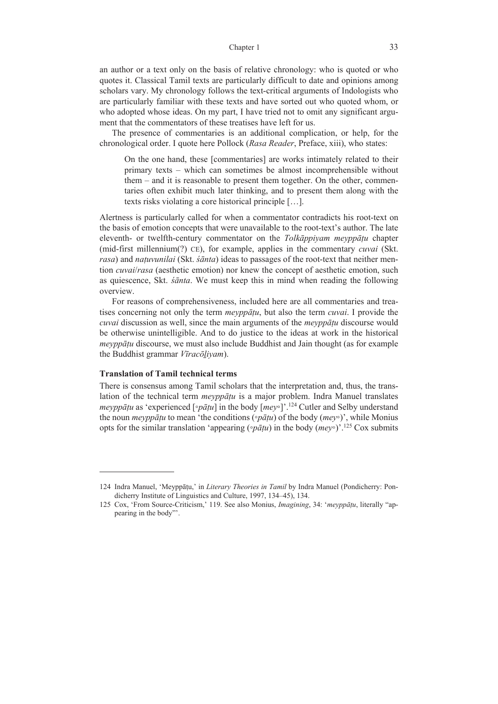an author or a text only on the basis of relative chronology: who is quoted or who quotes it. Classical Tamil texts are particularly difficult to date and opinions among scholars vary. My chronology follows the text-critical arguments of Indologists who are particularly familiar with these texts and have sorted out who quoted whom, or who adopted whose ideas. On my part, I have tried not to omit any significant argument that the commentators of these treatises have left for us.

The presence of commentaries is an additional complication, or help, for the chronological order. I quote here Pollock (*Rasa Reader*, Preface, xiii), who states:

On the one hand, these [commentaries] are works intimately related to their primary texts – which can sometimes be almost incomprehensible without them – and it is reasonable to present them together. On the other, commentaries often exhibit much later thinking, and to present them along with the texts risks violating a core historical principle […].

Alertness is particularly called for when a commentator contradicts his root-text on the basis of emotion concepts that were unavailable to the root-text's author. The late eleventh- or twelfth-century commentator on the *Tolkāppiyam meyppāṭu* chapter (mid-first millennium(?) CE), for example, applies in the commentary *cuvai* (Skt. *rasa*) and *naṭuvunilai* (Skt. *śānta*) ideas to passages of the root-text that neither mention *cuvai*/*rasa* (aesthetic emotion) nor knew the concept of aesthetic emotion, such as quiescence, Skt. *śānta*. We must keep this in mind when reading the following overview.

For reasons of comprehensiveness, included here are all commentaries and treatises concerning not only the term *meyppāṭu*, but also the term *cuvai*. I provide the *cuvai* discussion as well, since the main arguments of the *meyppāṭu* discourse would be otherwise unintelligible. And to do justice to the ideas at work in the historical *meyppāṭu* discourse, we must also include Buddhist and Jain thought (as for example the Buddhist grammar *Vīracōḻiyam*).

### **Translation of Tamil technical terms**

There is consensus among Tamil scholars that the interpretation and, thus, the translation of the technical term *meyppāṭu* is a major problem. Indra Manuel translates *meyppātu* as 'experienced [◦*pātu*] in the body [*mey*◦]'.<sup>124</sup> Cutler and Selby understand the noun *meyppāṭu* to mean 'the conditions (◦*pāṭu*) of the body (*mey*◦)', while Monius opts for the similar translation 'appearing (∘*pātu*) in the body ( $mev$ °)'.<sup>125</sup> Cox submits

<sup>124</sup> Indra Manuel, 'Meyppāṭu,' in *Literary Theories in Tamil* by Indra Manuel (Pondicherry: Pondicherry Institute of Linguistics and Culture, 1997, 134–45), 134.

<sup>125</sup> Cox, 'From Source-Criticism,' 119. See also Monius, *Imagining*, 34: '*meyppāṭu*, literally "appearing in the body"'.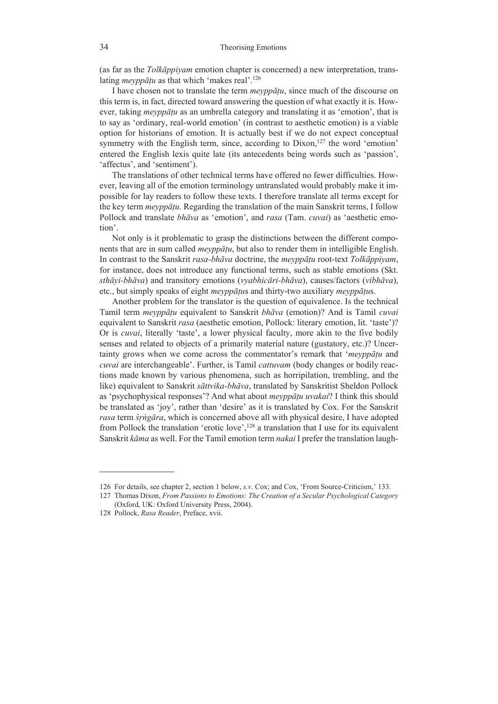(as far as the *Tolkāppiyam* emotion chapter is concerned) a new interpretation, translating *meyppāṭu* as that which 'makes real'.126

I have chosen not to translate the term *meyppāṭu*, since much of the discourse on this term is, in fact, directed toward answering the question of what exactly it is. However, taking *meyppāṭu* as an umbrella category and translating it as 'emotion', that is to say as 'ordinary, real-world emotion' (in contrast to aesthetic emotion) is a viable option for historians of emotion. It is actually best if we do not expect conceptual symmetry with the English term, since, according to Dixon, $127$  the word 'emotion' entered the English lexis quite late (its antecedents being words such as 'passion', 'affectus', and 'sentiment').

The translations of other technical terms have offered no fewer difficulties. However, leaving all of the emotion terminology untranslated would probably make it impossible for lay readers to follow these texts. I therefore translate all terms except for the key term *meyppāṭu*. Regarding the translation of the main Sanskrit terms, I follow Pollock and translate *bhāva* as 'emotion', and *rasa* (Tam. *cuvai*) as 'aesthetic emotion'.

Not only is it problematic to grasp the distinctions between the different components that are in sum called *meyppāṭu*, but also to render them in intelligible English. In contrast to the Sanskrit *rasa-bhāva* doctrine, the *meyppāṭu* root-text *Tolkāppiyam*, for instance, does not introduce any functional terms, such as stable emotions (Skt. *sthāyi-bhāva*) and transitory emotions (*vyabhicāri-bhāva*), causes/factors (*vibhāva*), etc., but simply speaks of eight *meyppāṭu*s and thirty-two auxiliary *meyppāṭu*s.

Another problem for the translator is the question of equivalence. Is the technical Tamil term *meyppāṭu* equivalent to Sanskrit *bhāva* (emotion)? And is Tamil *cuvai* equivalent to Sanskrit *rasa* (aesthetic emotion, Pollock: literary emotion, lit. 'taste')? Or is *cuvai*, literally 'taste', a lower physical faculty, more akin to the five bodily senses and related to objects of a primarily material nature (gustatory, etc.)? Uncertainty grows when we come across the commentator's remark that '*meyppāṭu* and *cuvai* are interchangeable'. Further, is Tamil *cattuvam* (body changes or bodily reactions made known by various phenomena, such as horripilation, trembling, and the like) equivalent to Sanskrit *sāttvika-bhāva*, translated by Sanskritist Sheldon Pollock as 'psychophysical responses'? And what about *meyppāṭu uvakai*? I think this should be translated as 'joy', rather than 'desire' as it is translated by Cox. For the Sanskrit *rasa* term *śṛṅgāra*, which is concerned above all with physical desire, I have adopted from Pollock the translation 'erotic love', $128$  a translation that I use for its equivalent Sanskrit *kāma* as well. For the Tamil emotion term *nakai* I prefer the translation laugh-

<sup>126</sup> For details, see chapter 2, section 1 below, *s.v*. Cox; and Cox, 'From Source-Criticism,' 133.

<sup>127</sup> Thomas Dixon, *From Passions to Emotions: The Creation of a Secular Psychological Category* (Oxford, UK: Oxford University Press, 2004).

<sup>128</sup> Pollock, *Rasa Reader*, Preface, xvii.